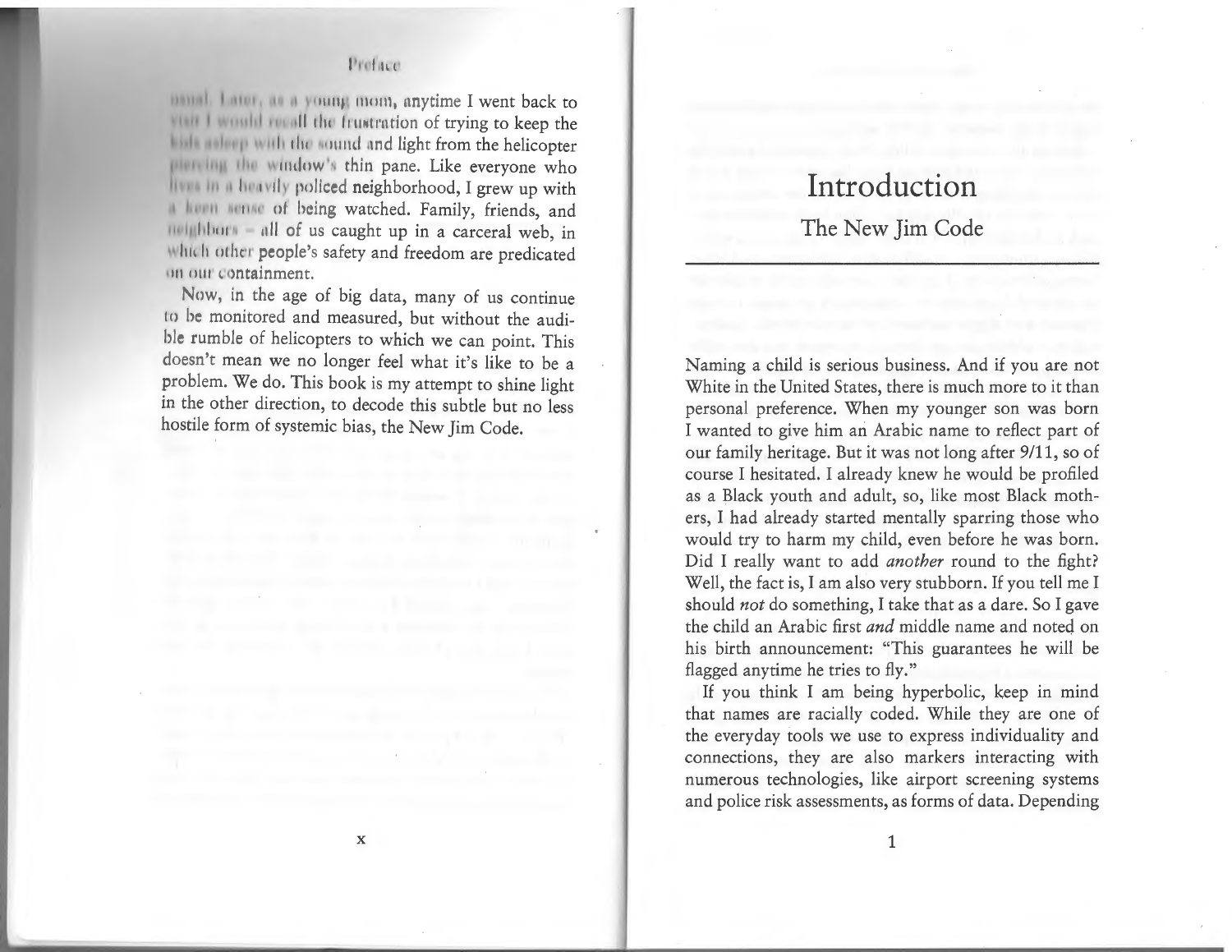# Preface.

 $\liminf$  inom, anytime I went back to which I would recall the frustration of trying to keep the **this interprettial the sound and light from the helicopter** *1*<sup>11</sup>/110 *the window's* thin pane. Like everyone who I heavily policed neighborhood, I grew up with 11 **11c <sup>11</sup> 1,o** ol htii11 g watched. Family, friends, and **<sup>11</sup>**1gl ii 1i ii'~ n II of us caught up in a carceral web, in which other people's safety and freedom are predicated In our containment.

Now, in the age of big data, many of us continue to be monitored and measured, but without the audible rumble of helicopters to which we can point. This doesn't mean we no longer feel what it's like to be a problem. We do. This book is my attempt to shine light in the other direction, to decode this subtle but no less hostile form of systemic bias, the New Jim Code.

# **Introduction**  The New **Jim** Code

Naming a child is serious business. And if you are not White in the United States, there is much more to it than personal preference. When my younger son was born I wanted to give him an Arabic name to reflect part of our family heritage. But it was not long after 9/11, so of course I hesitated. I already knew he would be profiled as a Black youth and adult, so, like most Black mothers, I had already started mentally sparring those who would try to harm my child, even before he was born. Did I really want to add *another* round to the fight? Well, the fact is, I am also very stubborn. If you tell me I should *not* do something, I take that as a dare. So I gave the child an Arabic first *and* middle name and noted on his birth announcement: "This guarantees he will be flagged anytime he tries to fly."

If you think I am being hyperbolic, keep in mind that names are racially coded. While they are one of the everyday tools we use to express individuality and connections, they are also markers interacting with numerous technologies, like airport screening systems and police risk assessments, as forms of data. Depending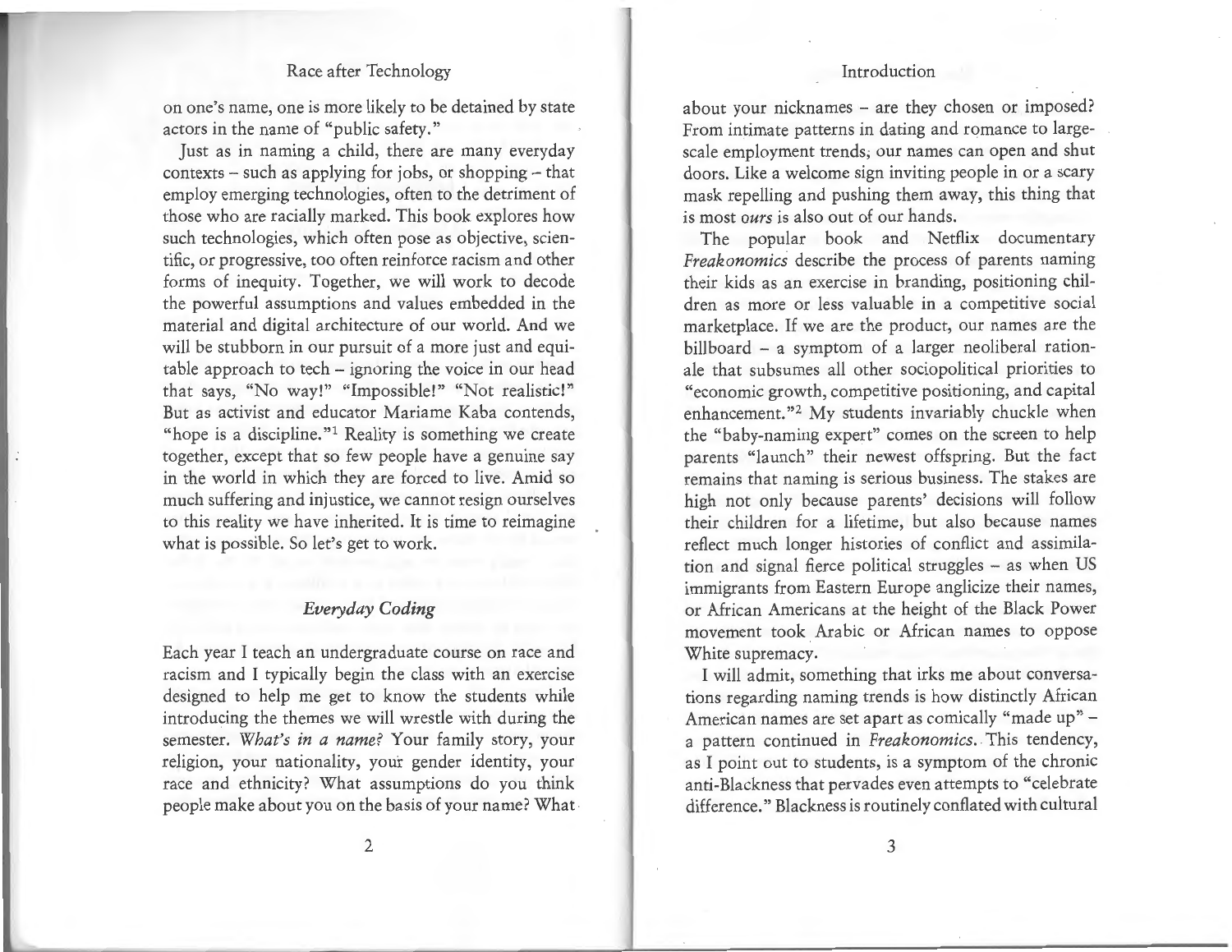#### Race after Technology

on one's name, one is more likely to be detained by state actors in the name of "public safety."

Just as in naming a child, there are many everyday contexts – such as applying for jobs, or shopping – that employ emerging technologies, often to the detriment of those who are racially marked. This book explores how such technologies, which often pose as objective, scientific, or progressive, too often reinforce racism and other forms of inequity. Together, we will work to decode the powerful assumptions and values embedded in the material and digital architecture of our world. And we will be stubborn in our pursuit of a more just and equitable approach to tech - ignoring the voice in our head that says, "No way!" "Impossible!" "Not realistic!" But as activist and educator Mariame Kaba contends, "hope is a discipline."<sup>1</sup> Reality is something we create together, except that so few people have a genuine say in the world in which they are forced to live. Amid so much suffering and injustice, we cannot resign ourselves to this reality we have inherited. It is time to reimagine what is possible. So let's get to work.

# *Everyday Coding*

Each year I teach an undergraduate course on race and racism and I typically begin the class with an exercise designed to help me get to know the students while introducing the themes we will wrestle with during the semester. *What's in a name?* Your family story, your religion, your nationality, your gender identity, your race and ethnicity? What assumptions do you think people make about you on the basis of your name? What about your nicknames – are they chosen or imposed? From intimate patterns in dating and romance to largescale employment trends, our names can open and shut doors. Like a welcome sign inviting people in or a scary mask repelling and pushing them away, this thing that is most *ours* is also out of our hands.

The popular book and Netflix documentary *Freakonomics* describe the process of parents naming their kids as an exercise in branding, positioning children as more or less valuable in a competitive social marketplace. If we are the product, our names are the billboard - a symptom of a larger neoliberal rationale that subsumes all other sociopolitical priorities to "economic growth, competitive positioning, and capital enhancement."<sup>2</sup> My students invariably chuckle when the "baby-naming expert" comes on the screen to help parents "launch" their newest offspring. But the fact remains that naming is serious business. The stakes are high not only because parents' decisions will follow their children for a lifetime, but also because names reflect much longer histories of conflict and assimilation and signal fierce political struggles - as when US immigrants from Eastern Europe anglicize their names, or African Americans at the height of the Black Power movement took Arabic or African names to oppose White supremacy.

I will admit, something that irks me about conversations regarding naming trends is how distinctly African American names are set apart as comically "made up" a pattern continued in *Freakonomics.* This tendency, as I point out to students, is a symptom of the chronic anti-Blackness that pervades even attempts to "celebrate difference." Blackness is routinely conflated with cultural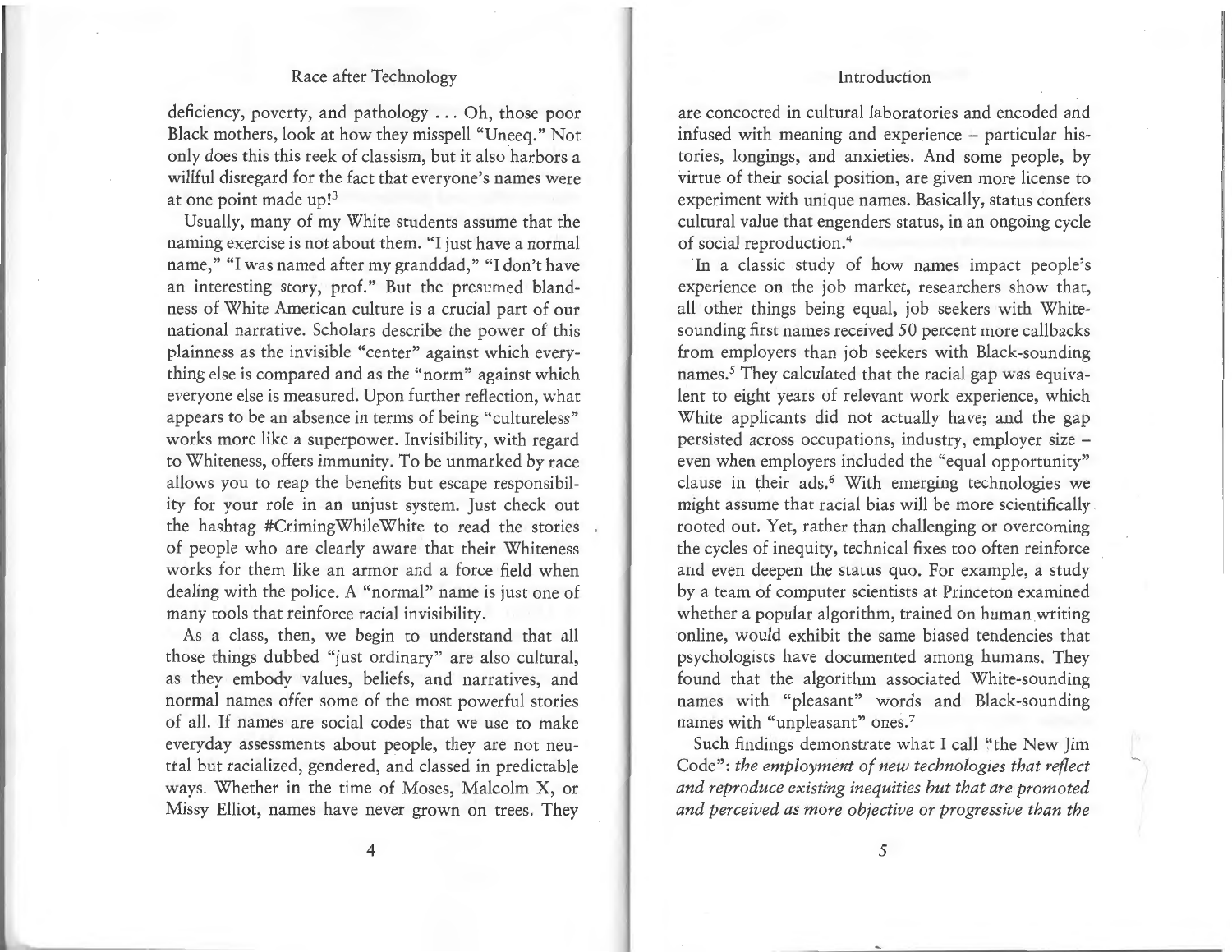# Race after Technology

deficiency, poverty, and pathology ... Oh, those poor Black mothers, look at how they misspell "Uneeq." Not only does this this reek of classism, but it also harbors a willful disregard for the fact that everyone's names were at one point made up!<sup>3</sup>

Usually, many of my White students assume that the naming exercise is not about them. "I just have a normal name," "I was named after my granddad," "I don't have an interesting story, prof." But the presumed blandness of White American culture is a crucial part of our national narrative. Scholars describe the power of this plainness as the invisible "center" against which everything else is compared and as the "norm" against which everyone else is measured. Upon further reflection, what appears to be an absence in terms of being "cultureless" works more like a superpower. Invisibility, with regard to Whiteness, offers immunity. To be unmarked by race allows you to reap the benefits but escape responsibility for your role in an unjust system. Just check out the hashtag #CrimingWhileWhite to read the stories of people who are clearly aware that their Whiteness works for them like an armor and a force field when dealing with the police. A "normal" name is just one of many tools that reinforce racial invisibility.

As a class, then, we begin to understand that all those things dubbed "just ordinary" are also cultural, as they embody values, beliefs, and narratives, and normal names offer some of the most powerful stories of all. If names are social codes that we use to make everyday assessments about people, they are not neutral but racialized, gendered, and classed in predictable ways. Whether in the time of Moses, Malcolm X, or Missy Elliot, names have never grown on trees. They

are concocted in cultural laboratories and encoded and infused with meaning and experience - particular histories, longings, and anxieties. And some people, by virtue of their social position, are given more license to experiment with unique names. Basically, status confers cultural value that engenders status, in an ongoing cycle of social reproduction. <sup>4</sup>

In a classic study of how names impact people's experience on the job market, researchers show that, all other things being equal, job seekers with Whitesounding first names received 50 percent more callbacks from employers than job seekers with Black-sounding names.<sup>5</sup> They calculated that the racial gap was equivalent to eight years of relevant work experience, which White applicants did not actually have; and the gap persisted across occupations, industry, employer size even when employers included the "equal opportunity" clause in their ads.<sup>6</sup> With emerging technologies we might assume that racial bias will be more scientifically. rooted out. Yet, rather than challenging or overcoming the cycles of inequity, technical fixes too often reinforce and even deepen the status quo. For example, a study by a team of computer scientists at Princeton examined whether a popular algorithm, trained on human writing online, would exhibit the same biased tendencies that psychologists have documented among humans. They found that the algorithm associated White-sounding names with "pleasant" words and Black-sounding names with "unpleasant" ones.<sup>7</sup>

Such findings demonstrate what I call "the New Jim Code": *the employment of new technologies that reflect and reproduce existing inequities but that are promoted and perceived as more objective or progressive than the* 

4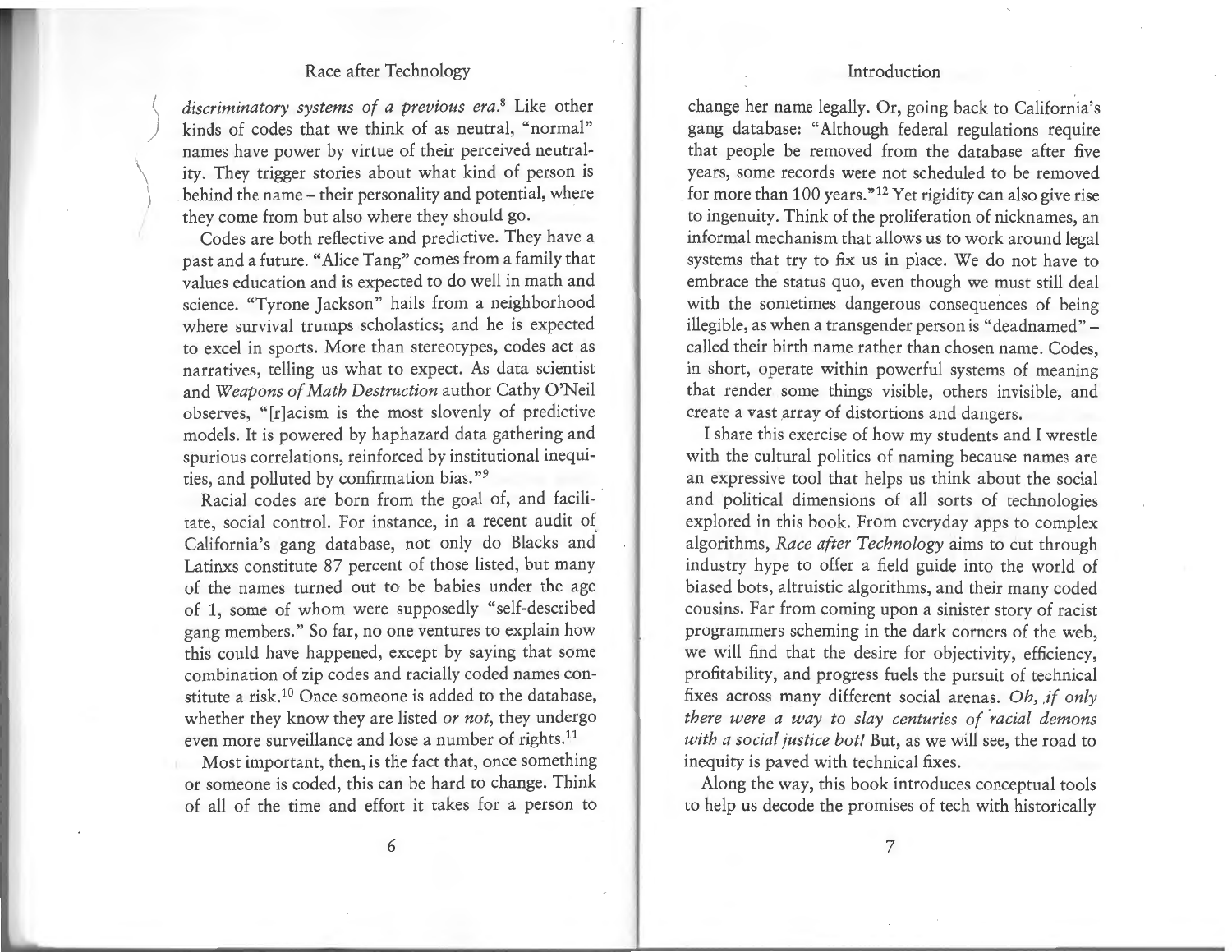# Race after Technology

*discriminatory systems of a previous era.* 8 Like other kinds of codes that we think of as neutral, "normal" names have power by virtue of their perceived neutrality. They trigger stories about what kind of person is behind the name – their personality and potential, where they come from but also where they should go.

 $\setminus$ 

Codes are both reflective and predictive. They have a past and a future. "Alice Tang" comes from a family that values education and is expected to do well in math and science. "Tyrone Jackson" hails from a neighborhood where survival trumps scholastics; and he is expected to excel in sports. More than stereotypes, codes act as narratives, telling us what to expect. As data scientist and *Weapons of Math Destruction* author Cathy O'Neil observes, "[r]acism is the most slovenly of predictive models. It is powered by haphazard data gathering and spurious correlations, reinforced by institutional inequities, and polluted by confirmation bias."<sup>9</sup>

Racial codes are born from the goal of, and facilitate, social control. For instance, in a recent audit of California's gang database, not only do Blacks and Latinxs constitute 87 percent of those listed, but many of the names turned out to be babies under the age of 1, some of whom were supposedly "self-described gang members." So far, no one ventures to explain how this could have happened, except by saying that some combination of zip codes and racially coded names constitute a risk.10 Once someone is added to the database, whether they know they are listed *or not,* they undergo even more surveillance and lose a number of rights. <sup>11</sup>

Most important, then, is the fact that, once something or someone is coded, this can be hard to change. Think of all of the time and effort it takes for a person to

change her name legally. Or, going back to California's gang database: "Although federal regulations require that people be removed from the database after five years, some records were not scheduled to be removed for more than 100 years." 12 Yet rigidity can also give rise to ingenuity. Think of the proliferation of nicknames, an informal mechanism that allows us to work around legal systems that try to fix us in place. We do not have to embrace the status quo, even though we must still deal with the sometimes dangerous consequences of being illegible, as when a transgender person is "deadnamed" called their birth name rather than chosen name. Codes, in short, operate within powerful systems of meaning that render some things visible, others invisible, and create a vast array of distortions and dangers.

I share this exercise of how my students and I wrestle with the cultural politics of naming because names are an expressive tool that helps us think about the social and political dimensions of all sorts of technologies explored in this book. From everyday apps to complex algorithms, *Race after Technology* aims to cut through industry hype to offer a field guide into the world of biased bots, altruistic algorithms, and their many coded cousins. Far from coming upon a sinister story of racist programmers scheming in the dark corners of the web, we will find that the desire for objectivity, efficiency, profitability, and progress fuels the pursuit of technical fixes across many different social arenas. Oh, *if only there were a way to slay centuries of ·racial demons with a social justice bot!* But, as we will see, the road to inequity is paved with technical fixes.

Along the way, this book introduces conceptual tools to help us decode the promises of tech with historically

6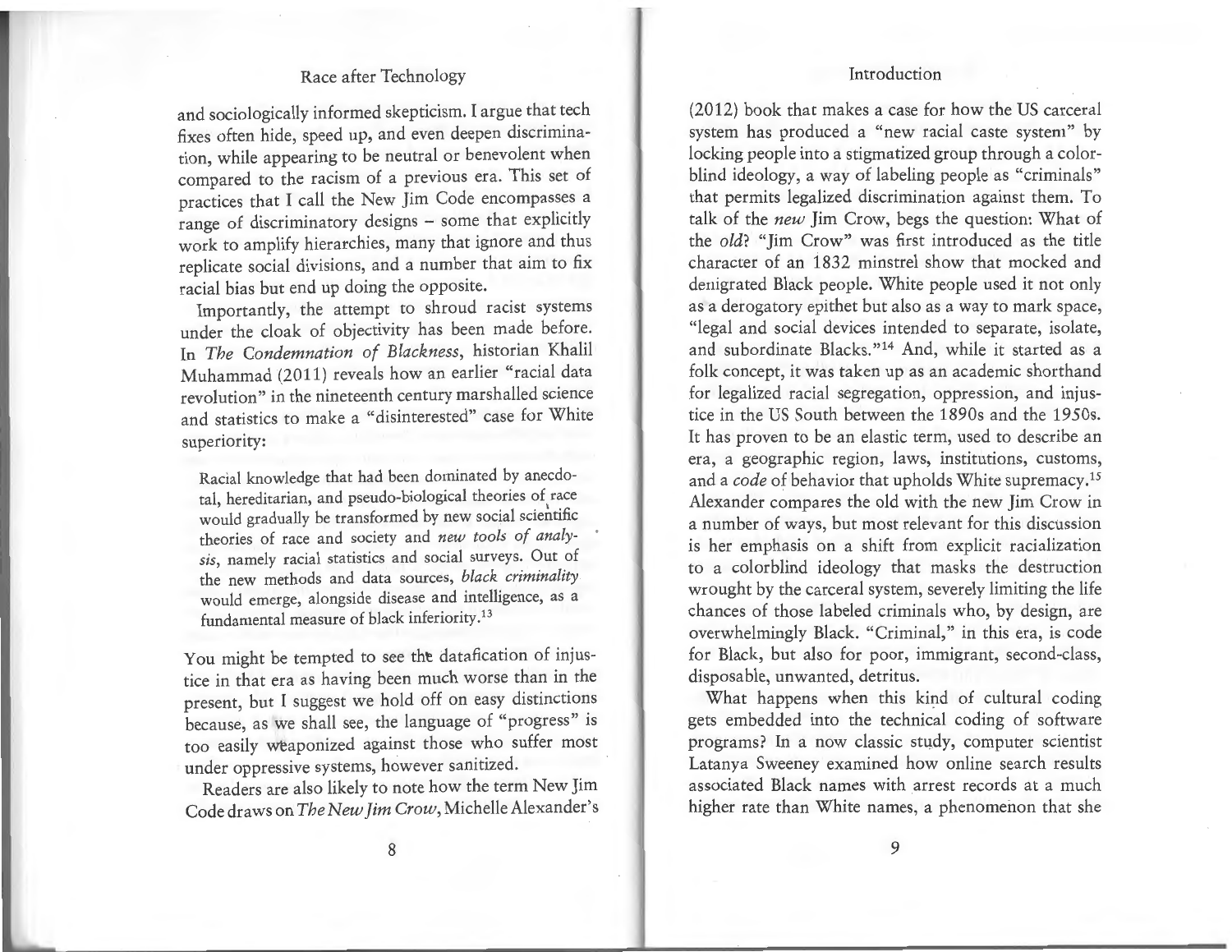# Race after Technology

and sociologically informed skepticism. I argue that tech fixes often hide, speed up, and even deepen discrimination, while appearing to be neutral or benevolent when compared to the racism of a previous era. This set of practices that I call the New Jim Code encompasses a range of discriminatory designs - some that explicitly work to amplify hierarchies, many that ignore and thus replicate social divisions, and a number that aim to fix racial bias but end up doing the opposite.

Importantly, the attempt to shroud racist systems under the cloak of objectivity has been made before. In *The Condemnation of Blackness,* historian Khalil Muhammad (2011) reveals how an earlier "racial data revolution" in the nineteenth century marshalled science and statistics to make a "disinterested" case for White superiority:

Racial knowledge that had been dominated by anecdotal, hereditarian, and pseudo-biological theories of race would gradually be transformed by new social scientific theories of race and society and *new tools of analysis,* namely racial statistics and social surveys. Out of the new methods and data sources, *black criminality*  would emerge, alongside disease and intelligence, as a fundamental measure of black inferiority.13

You might be tempted to see **tht** datafication of injustice in that era as having been much worse than in the present, but I suggest we hold off on easy distinctions because, as we shall see, the language of "progress" is too easily weaponized against those who suffer most under oppressive systems, however sanitized.

Readers are also likely to note how the term New Jim Code draws on *The New Jim Crow,* Michelle Alexander's

(2012) book that makes a case for how the US carceral system has produced a "new racial caste system" by locking people into a stigmatized group through a colorblind ideology, a way of labeling people as "criminals" that permits legalized discrimination against them. To talk of the *new* Jim Crow, begs the question: What of the *old?* "Jim Crow" was first introduced as the title character of an 1832 minstrel show that mocked and denigrated Black people. White people used it not only as a derogatory epithet but also as a way to mark space, "legal and social devices intended to separate, isolate, and subordinate Blacks." 14 And, while it started as a folk concept, it was taken up as an academic shorthand for legalized racial segregation, oppression, and injustice in the US South between the 1890s and the 1950s. It has proven to be an elastic term, used to describe an era, a geographic region, laws, institutions, customs, and a *code* of behavior that upholds White supremacy.<sup>15</sup> Alexander compares the old with the new Jim Crow in a number of ways, but most relevant for this discussion is her emphasis on a shift from explicit racialization to a colorblind ideology that masks the destruction wrought by the carceral system, severely limiting the life chances of those labeled criminals who, by design, are overwhelmingly Black. "Criminal," in this era, is code for Black, but also for poor, immigrant, second-class, disposable, unwanted, detritus.

What happens when this kind of cultural coding gets embedded into the technical coding of software programs? In a now classic study, computer scientist Latanya Sweeney examined how online search results associated Black names with arrest records at a much higher rate than White names, a phenomenon that she

8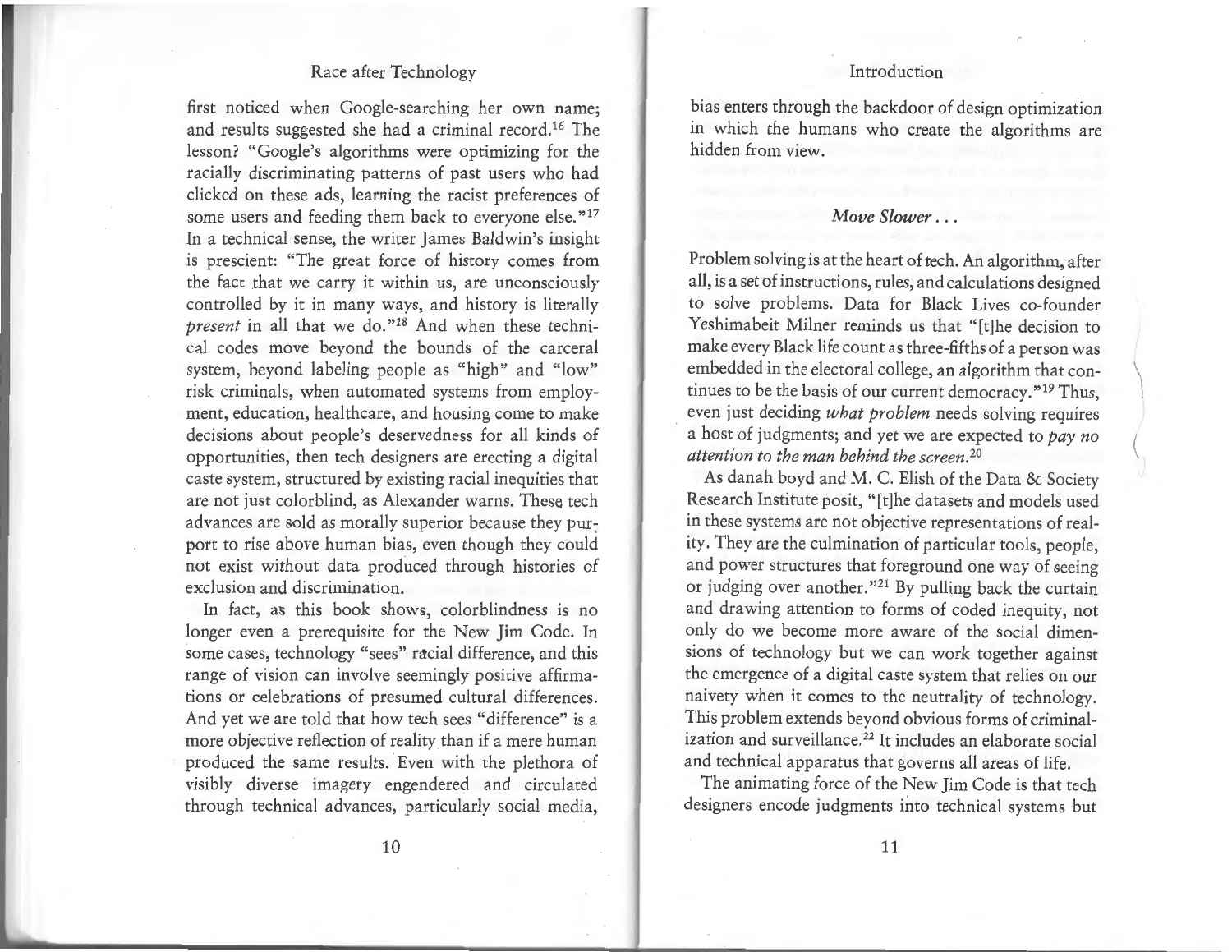# Race after Technology

first noticed when Google-searching her own name; and results suggested she had a criminal record.<sup>16</sup> The lesson? "Google's algorithms were optimizing for the racially discriminating patterns of past users who had clicked on these ads, learning the racist preferences of some users and feeding them back to everyone else."<sup>17</sup> In a technical sense, the writer James Baldwin's insight is prescient: "The great force of history comes from the fact that we carry it within us, are unconsciously controlled by it in many ways, and history is literally *present* in all that we do. "18 And when these technical codes move beyond the bounds of the carceral system, beyond labeling people as "high" and "low" risk criminals, when automated systems from employment, education, healthcare, and housing come to make decisions about people's deservedness for all kinds of opportunities, then tech designers are erecting a digital caste system, structured by existing racial inequities that are not just colorblind, as Alexander warns. These tech advances are sold as morally superior because they pur; port to rise above human bias, even though they could not exist without data produced through histories of exclusion and discrimination.

In fact, as this book shows, colorblindness is no longer even a prerequisite for the New Jim Code. In some cases, technology "sees" racial difference, and this range of vision can involve seemingly positive affirmations or celebrations of presumed cultural differences. And yet we are told that how tech sees "difference" is a more objective reflection of reality than if a mere human produced the same results. Even with the plethora of visibly diverse imagery engendered and circulated through technical advances, particularly social media,

#### Introduction

bias enters through the backdoor of design optimization in which the humans who create the algorithms are hidden from view.

# *Move Slower* ...

Problem solving is at the heart of tech. An algorithm, after all, is a set of instructions, rules, and calculations designed to solve problems. Data for Black Lives co-founder Yeshimabeit Milner reminds us that "[t]he decision to make every Black life count as three-fifths of a person was embedded in the electoral college, an algorithm that continues to be the basis of our current democracy. " 19 Thus, even just deciding *what problem* needs solving requires a host of judgments; and yet we are expected to *pay no attention to the man behind the screen.* <sup>20</sup>

As danah boyd and M. C. Elish of the Data & Society Research Institute posit, "[t]he datasets and models used in these systems are not objective representations of reality. They are the culmination of particular tools, people, and power structures that foreground one way of seeing or judging over another."<sup>21</sup> By pulling back the curtain and drawing attention to forms of coded inequity, not only do we become more aware of the social dimensions of technology but we can work together against the emergence of a digital caste system that relies on our naivety when it comes to the neutrality of technology. This problem extends beyond obvious forms of criminalization and surveillance.<sup>22</sup> It includes an elaborate social and technical apparatus that governs all areas of life.

The animating force of the New Jim Code is that tech designers encode judgments into technical systems but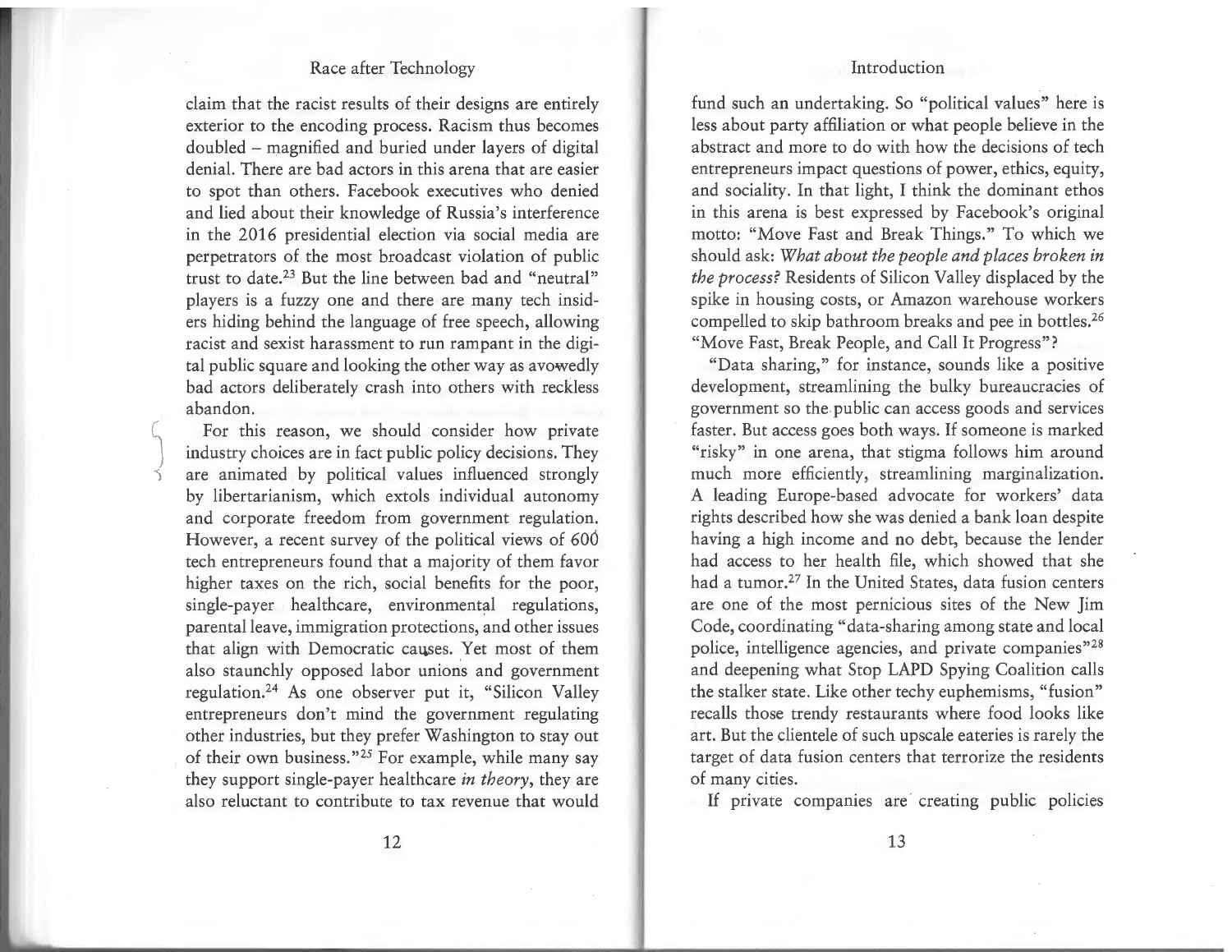# Race after Technology

claim that the racist results of their designs are entirely exterior to the encoding process. Racism thus becomes doubled - magnified and buried under layers of digital denial. There are bad actors in this arena that are easier to spot than others. Facebook executives who denied and lied about their knowledge of Russia's interference in the 2016 presidential election via social media are perpetrators of the most broadcast violation of public trust to date.<sup>23</sup> But the line between bad and "neutral" players is a fuzzy one and there are many tech insiders hiding behind the language of free speech, allowing racist and sexist harassment to run rampant in the digital public square and looking the other way as avowedly bad actors deliberately crash into others with reckless abandon.

For this reason, we should consider how private industry choices are in fact public policy decisions. They are animated by political values influenced strongly by libertarianism, which extols individual autonomy and corporate freedom from government regulation. However, a recent survey of the political views of 606 tech entrepreneurs found that a majority of them favor higher taxes on the rich, social benefits for the poor, single-payer healthcare, environmental regulations, parental leave, immigration protections, and other issues that align with Democratic causes. Yet most of them also staunchly opposed labor unions and government regulation. 24 As one observer put it, "Silicon Valley entrepreneurs don't mind the government regulating other industries, but they prefer Washington to stay out of their own business."<sup>25</sup> For example, while many say they support single-payer healthcare *in theory,* they are also reluctant to contribute to tax revenue that would

 $\sqrt{ }$ 

")

fund such an undertaking. So "political values" here is less about party affiliation or what people believe in the abstract and more to do with how the decisions of tech entrepreneurs impact questions of power, ethics, equity, and sociality. In that light, I think the dominant ethos in this arena is best expressed by Facebook's original motto: "Move Fast and Break Things." To which we should ask: *What about the people and places broken in the process?* Residents of Silicon Valley displaced by the spike in housing costs, or Amazon warehouse workers compelled to skip bathroom breaks and pee in bottles.<sup>26</sup> "Move Fast, Break People, and Call It Progress"?

"Data sharing," for instance, sounds like a positive development, streamlining the bulky bureaucracies of government so the public can access goods and services faster. But access goes both ways. If someone is marked "risky" in one arena, that stigma follows him around much more efficiently, streamlining marginalization. A leading Europe-based advocate for workers' data rights described how she was denied a bank loan despite having a high income and no debt, because the lender had access to her health file, which showed that she had a tumor.<sup>27</sup> In the United States, data fusion centers are one of the most pernicious sites of the New Jim Code, coordinating "data-sharing among state and local police, intelligence agencies, and private companies"<sup>28</sup> and deepening what Stop LAPD Spying Coalition calls the stalker state. Like other techy euphemisms, "fusion" recalls those trendy restaurants where food looks like art. But the clientele of such upscale eateries is rarely the target of data fusion centers that terrorize the residents of many cities.

If private companies are creating public policies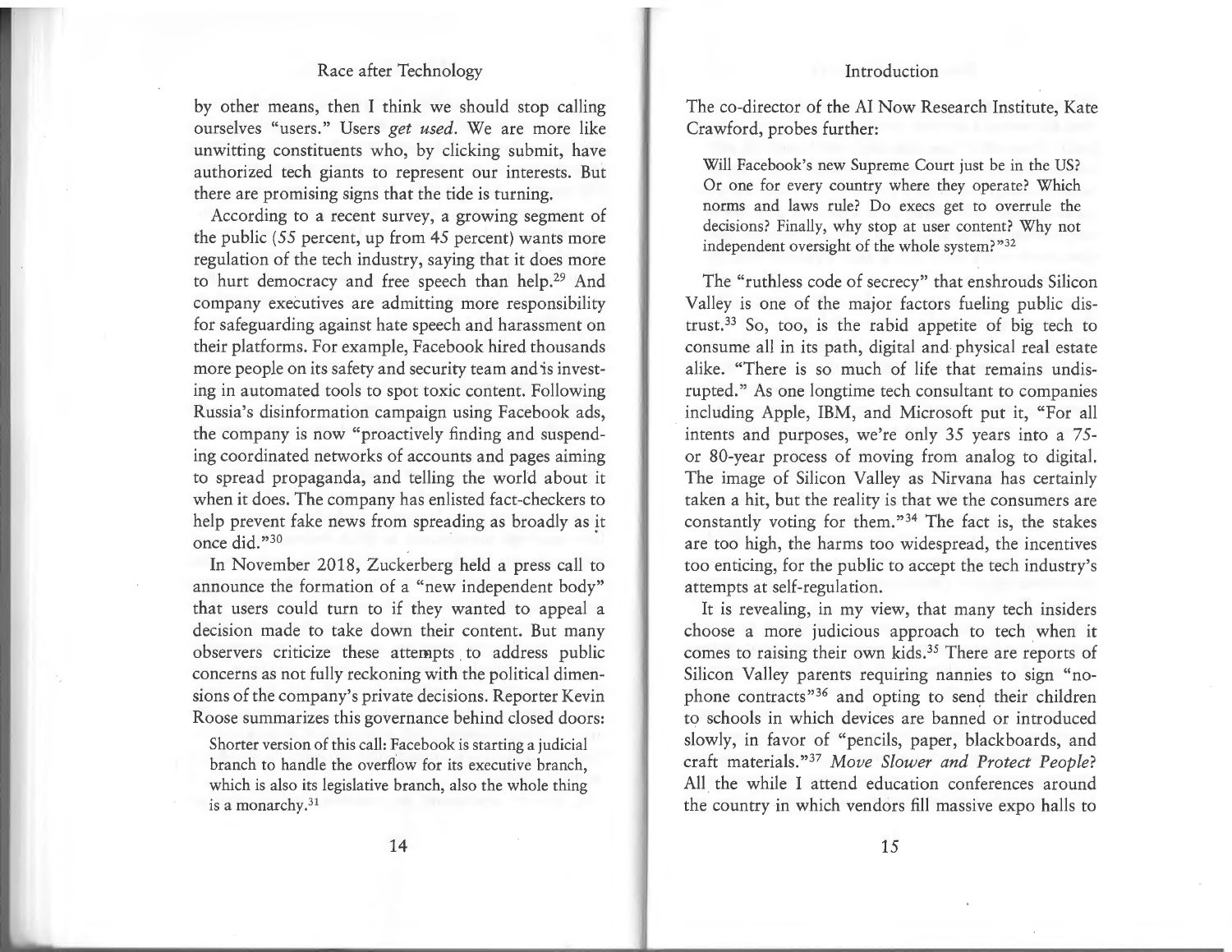# Race after Technology

by other means, then I think we should stop calling ourselves "users." Users *get used.* We are more like unwitting constituents who, by clicking submit, have authorized tech giants to represent our interests. But there are promising signs that the tide is turning.

According to a recent survey, a growing segment of the public (55 percent, up from 45 percent) wants more regulation of the tech industry, saying that it does more to hurt democracy and free speech than help.<sup>29</sup> And company executives are admitting more responsibility for safeguarding against hate speech and harassment on their platforms. For example, Facebook hired thousands more people on its safety and security team and is investing in automated tools to spot toxic content. Following Russia's disinformation campaign using Facebook ads, the company is now "proactively finding and suspending coordinated networks of accounts and pages aiming to spread propaganda, and telling the world about it when it does. The company has enlisted fact-checkers to help prevent fake news from spreading as broadly as *jt*  once did."30

In November 2018, Zuckerberg held a press call to announce the formation of a "new independent body" that users could turn to if they wanted to appeal a decision made to take down their content. But many observers criticize these attempts to address public concerns as not fully reckoning with the political dimensions of the company's private decisions. Reporter Kevin Roose summarizes this governance behind closed doors:

Shorter version of this call: Facebook is starting a judicial branch to handle the overflow for its executive branch, which is also its legislative branch, also the whole thing is a monarchy.<sup>31</sup>

The co-director of the AI Now Research Institute, Kate Crawford, probes further:

Will Facebook's new Supreme Court just be in the US? Or one for every country where they operate? Which norms and laws rule? Do execs get to overrule the decisions? Finally, why stop at user content? Why not independent oversight of the whole system?"<sup>32</sup>

The "ruthless code of secrecy" that enshrouds Silicon Valley is one of the major factors fueling public distrust.33 So, too, is the rabid appetite of big tech to consume all in its path, digital and physical real estate alike. "There is so much of life that remains undisrupted." As one longtime tech consultant to companies including Apple, IBM, and Microsoft put it, "For all intents and purposes, we're only 35 years into a 75 or 8O-year process of moving from analog to digital. The image of Silicon Valley as Nirvana has certainly taken a hit, but the reality is that we the consumers are constantly voting for them."<sup>34</sup> The fact is, the stakes are too high, the harms too widespread, the incentives too enticing, for the public to accept the tech industry's attempts at self-regulation.

It is revealing, in my view, that many tech insiders choose a more judicious approach to tech when it comes to raising their own kids.<sup>35</sup> There are reports of Silicon Valley parents requiring nannies to sign "nophone contracts<sup>"36</sup> and opting to send their children to schools in which devices are banned or introduced slowly, in favor of "pencils, paper, blackboards, and craft materials."37 *Move Slower and Protect People?*  All the while I attend education conferences around the country in which vendors fill massive expo halls to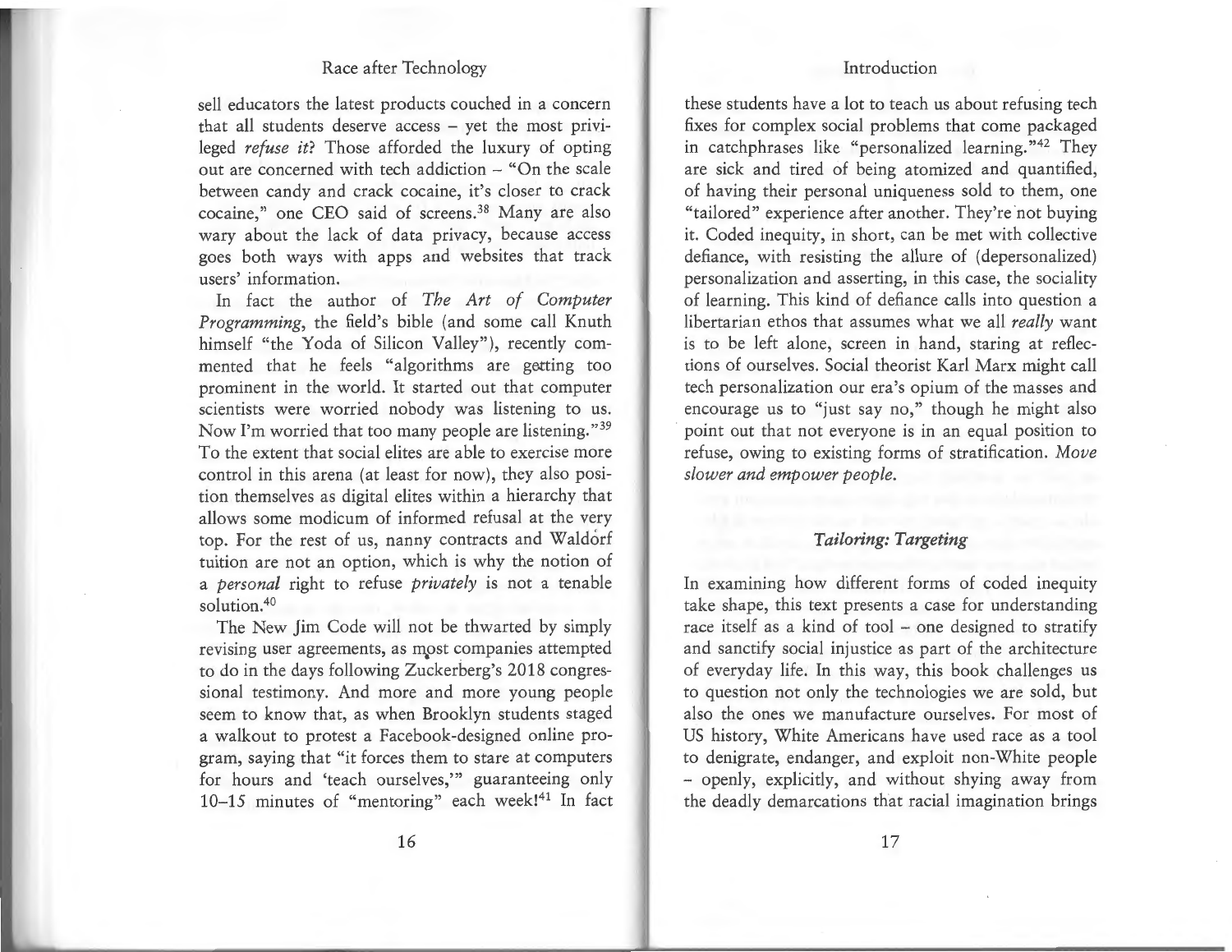# Race after Technology

sell educators the latest products couched in a concern that all students deserve access – yet the most privileged *refuse it?* Those afforded the luxury of opting out are concerned with tech addiction  $-$  "On the scale" between candy and crack cocaine, it's closer to crack cocaine," one CEO said of screens.<sup>38</sup> Many are also wary about the lack of data privacy, because access goes both ways with apps and websites that track users' information.

In fact the author of *The Art of Computer Programming,* the field's bible (and some call Knuth himself "the Yoda of Silicon Valley"), recently commented that he feels "algorithms are getting too prominent in the world. It started out that computer scientists were worried nobody was listening to us. Now I'm worried that too many people are listening."<sup>39</sup> To the extent that social elites are able to exercise more control in this arena (at least for now), they also position themselves as digital elites within a hierarchy that allows some modicum of informed refusal at the very top. For the rest of us, nanny contracts and Waldorf tuition are not an option, which is why the notion of <sup>a</sup>*personal* right to refuse *privately* is not a tenable solution.<sup>40</sup>

The New Jim Code will not be thwarted by simply revising user agreements, as mpst companies attempted to do in the days following Zuckerberg's 2018 congressional testimony. And more and more young people seem to know that, as when Brooklyn students staged a walkout to protest a Facebook-designed online program, saying that "it forces them to stare at computers for hours and 'teach ourselves,"' guaranteeing only  $10-15$  minutes of "mentoring" each week!<sup>41</sup> In fact these students have a lot to teach us about refusing tech fixes for complex social problems that come packaged in catchphrases like "personalized learning. "42 They are sick and tired of being atomized and quantified, of having their personal uniqueness sold to them, one "tailored" experience after another. They're not buying it. Coded inequity, in short, can be met with collective defiance, with resisting the allure of (depersonalized) personalization and asserting, in this case, the sociality of learning. This kind of defiance calls into question a libertarian ethos that assumes what we all *really* want is to be left alone, screen in hand, staring at reflections of ourselves. Social theorist Karl Marx might call tech personalization our era's opium of the masses and encourage us to "just say no," though he might also point out that not everyone is in an equal position to refuse, owing to existing forms of stratification. *Move slower and empower people.* 

# *Tailoring: Targeting*

In examining how different forms of coded inequity take shape, this text presents a case for understanding race itself as a kind of tool – one designed to stratify and sanctify social injustice as part of the architecture of everyday life. In this way, this book challenges us to question not only the technologies we are sold, but also the ones we manufacture ourselves. For most of US history, White Americans have used race as a tool to denigrate, endanger, and exploit non-White people - openly, explicitly, and without shying away from the deadly demarcations that racial imagination brings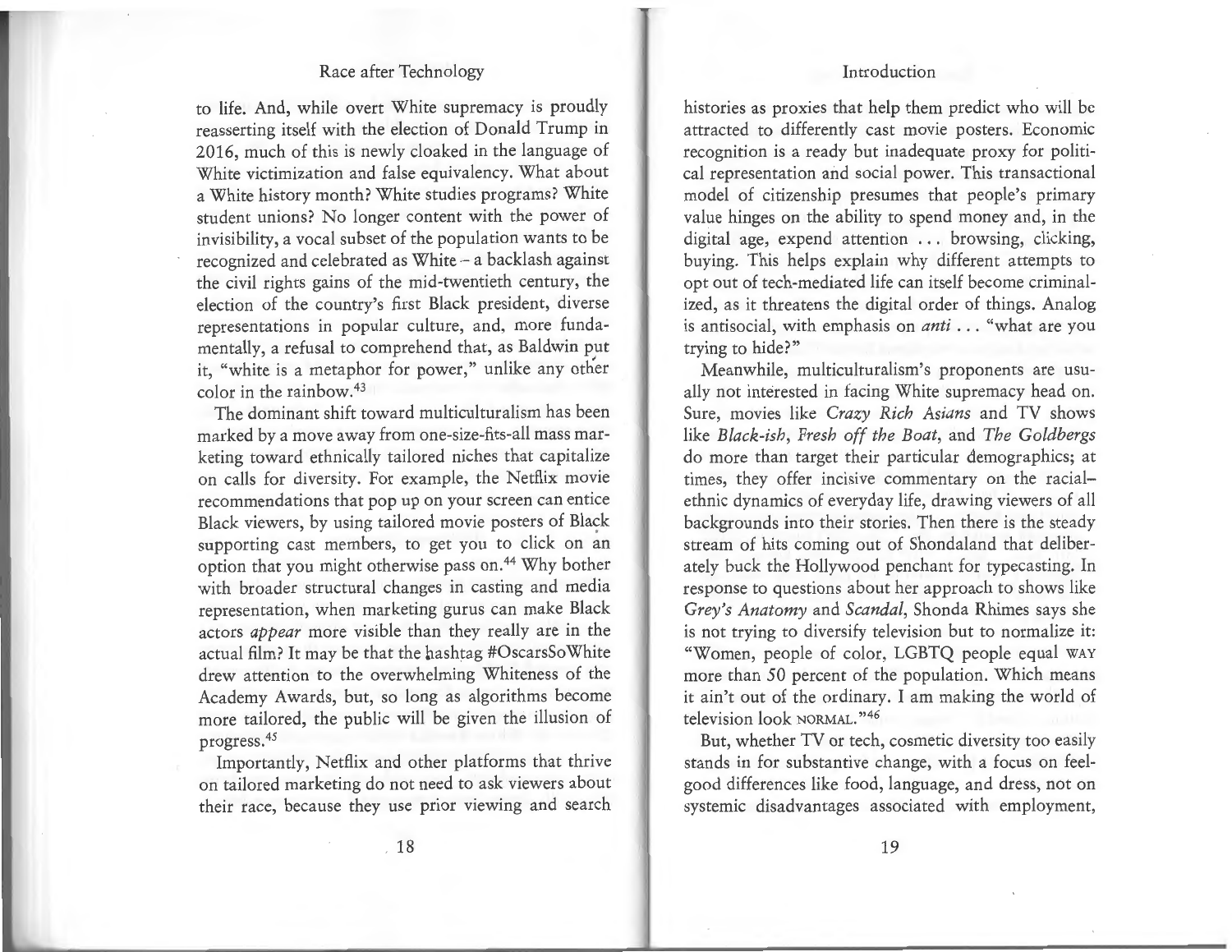# Race after Technology

to life. And, while overt White supremacy is proudly reasserting itself with the election of Donald Trump in 2016, much of this is newly cloaked in the language of White victimization and false equivalency. What about a White history month? White studies programs? White student unions? No longer content with the power of invisibility, a vocal subset of the population wants to be recognized and celebrated as White - a backlash against the civil rights gains of the mid-twentieth century, the election of the country's first Black president, diverse representations in popular culture, and, more fundamentally, a refusal to comprehend that, as Baldwin put it, "white is a metaphor for power," unlike any other color in the rainbow. <sup>43</sup>

The dominant shift toward multiculturalism has been marked by a move away from one-size-fits-all mass marketing toward ethnically tailored niches that capitalize on calls for diversity. For example, the Netflix movie recommendations that pop up on your screen can entice Black viewers, by using tailored movie posters of Black supporting cast members, to get you to click on an option that you might otherwise pass on.<sup>44</sup> Why bother with broader structural changes in casting and media representation, when marketing gurus can make Black actors *appear* more visible than they really are in the actual film? It may be that the hashtag #OscarsSo White drew attention to the overwhelming Whiteness of the Academy Awards, but, so long as algorithms become more tailored, the public will be given the illusion of progress.<sup>45</sup>

Importantly, Netflix and other platforms that thrive on tailored marketing do not need to ask viewers about their race, because they use prior viewing and search

histories as proxies that help them predict who will be attracted to differently cast movie posters. Economic recognition is a ready but inadequate proxy for political representation and social power. This transactional model of citizenship presumes that people's primary value hinges on the ability to spend money and, in the digital age, expend attention ... browsing, clicking, buying. This helps explain why different attempts to opt out of tech-mediated life can itself become criminalized, as it threatens the digital order of things. Analog is antisocial, with emphasis on *anti* ... "what are you trying to hide?"

Meanwhile, multiculturalism's proponents are usually not interested in facing White supremacy head on. Sure, movies like *Crazy Rich Asians* and TV shows like *Black-ish, Fresh off the Boat,* and *The Goldbergs*  do more than target their particular demographics; at times, they offer incisive commentary on the racialethnic dynamics of everyday life, drawing viewers of all backgrounds into their stories. Then there is the steady stream of hits coming out of Shondaland that deliberately buck the Hollywood penchant for typecasting. In response to questions about her approach to shows like *Grey's Anatomy* and *Scandal,* Shonda Rhimes says she is not trying to diversify television but to normalize it: "Women, people of color, LGBTQ people equal WAY more than 50 percent of the population. Which means it ain't out of the ordinary. I am making the world of television look NORMAL. " <sup>46</sup>

But, whether TV or tech, cosmetic diversity too easily stands in for substantive change, with a focus on feelgood differences like food, language, and dress, not on systemic disadvantages associated with employment,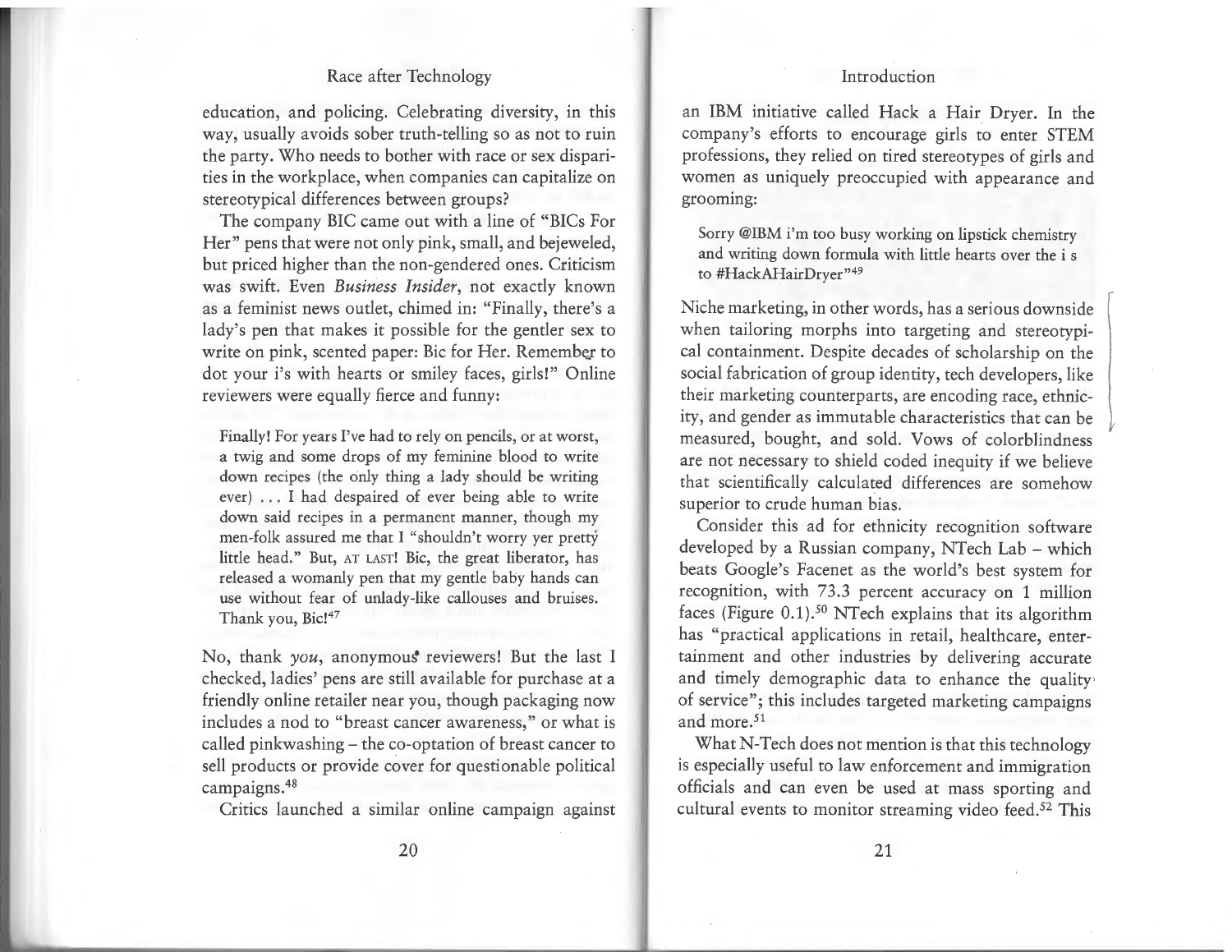# Race after Technology

education, and policing. Celebrating diversity, in this way, usually avoids sober truth-telling so as not to ruin the party. Who needs to bother with race or sex disparities in the workplace, when companies can capitalize on stereotypical differences between groups?

The company BIC came out with a line of "BICs For Her" pens that were not only pink, small, and bejeweled, but priced higher than the non-gendered ones. Criticism was swift. Even *Business Insider,* not exactly known as a feminist news outlet, chimed in: "Finally, there's a lady's pen that makes it possible for the gentler sex to write on pink, scented paper: Bic for Her. Remember to dot your i's with hearts or smiley faces, girls!" Online reviewers were equally fierce and funny:

Finally! For years I've had to rely on pencils, or at worst, a twig and some drops of my feminine blood to write down recipes (the only thing a lady should be writing ever) ... I had despaired of ever being able to write down said recipes in a permanent manner, though my men-folk assured me that I "shouldn't worry yer pretty little head." But, AT LAST! Bic, the great liberator, has released a womanly pen that my gentle baby hands can use without fear of unlady-like callouses and bruises. Thank you, Bic!<sup>47</sup>

No, thank you, anonymous reviewers! But the last I checked, ladies' pens are still available for purchase at a friendly online retailer near you, though packaging now includes a nod to "breast cancer awareness," or what is called pinkwashing – the co-optation of breast cancer to sell products or provide cover for questionable political campaigns.<sup>48</sup>

Critics launched a similar online campaign against

an IBM initiative called Hack a Hair Dryer. In the company's efforts to encourage girls to enter STEM professions, they relied on tired stereotypes of girls and women as uniquely preoccupied with appearance and grooming:

Sorry @IBM i'm too busy working on lipstick chemistry and writing down formula with little hearts over the i s to #HackAHairDryer"49

Niche marketing, in other words, has a serious downside when tailoring morphs into targeting and stereotypical containment. Despite decades of scholarship on the social fabrication of group identity, tech developers, like their marketing counterparts, are encoding race, ethnicity, and gender as immutable characteristics that can be measured, bought, and sold. Vows of colorblindness are not necessary to shield coded inequity if we believe that scientifically calculated differences are somehow superior to crude human bias.

Consider this ad for ethnicity recognition software developed by a Russian company, NTech Lab - which beats Google's Facenet as the world's best system for recognition, with 73.3 percent accuracy on 1 million faces (Figure  $0.1$ ).<sup>50</sup> NTech explains that its algorithm has "practical applications in retail, healthcare, entertainment and other industries by delivering accurate and timely demographic data to enhance the quality of service"; this includes targeted marketing campaigns and more.<sup>51</sup>

What N-Tech does not mention is that this technology is especially useful to law enforcement and immigration officials and can even be used at mass sporting and cultural events to monitor streaming video feed.<sup>52</sup> This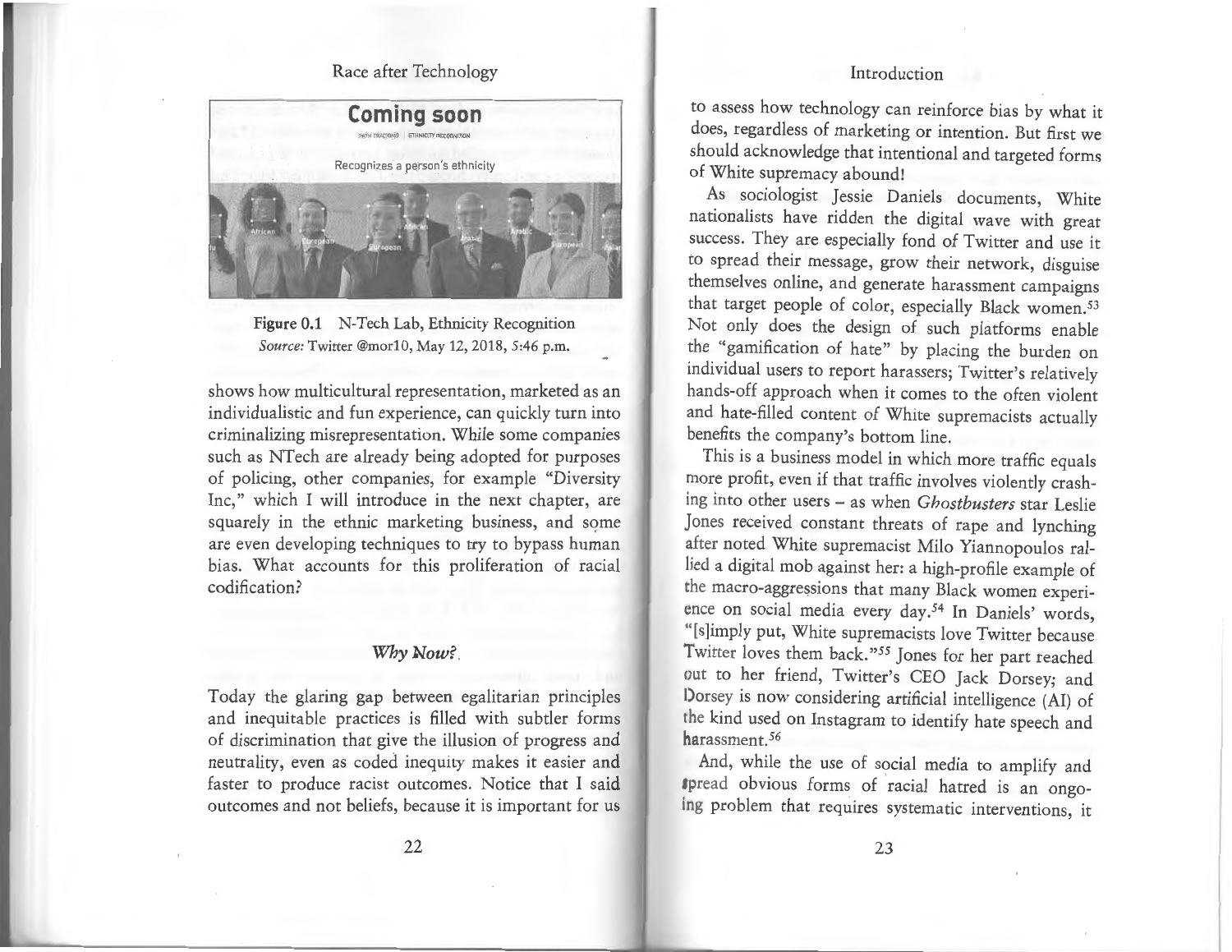# Race after Technology



**Figure 0.1** N-Tech Lab, Ethnicity Recognition *Source:* Twitter @morlO, May 12, 2018, 5:46 p.m.

shows how multicultural representation, marketed as an individualistic and fun experience, can quickly turn into criminalizing misrepresentation. While some companies such as NTech are already being adopted for purposes of policing, other companies, for example "Diversity Inc," which I will introduce in the next chapter, are squarely in the ethnic marketing business, and some are even developing techniques to try to bypass human bias. What accounts for this proliferation of racial codification?

#### *Why Now?*

Today the glaring gap between egalitarian principles and inequitable practices is filled with subtler forms of discrimination that give the illusion of progress and neutrality, even as coded inequity makes it easier and faster to produce racist outcomes. Notice that I said outcomes and not beliefs, because it is important for us

to assess how technology can reinforce bias by what it does, regardless of marketing or intention. But first we should acknowledge that intentional and targeted forms of White supremacy abound!

As sociologist Jessie Daniels documents, White nationalists have ridden the digital wave with great success. They are especially fond of Twitter and use it to spread their message, grow their network, disguise themselves online, and generate harassment campaigns that target people of color, especially Black women.<sup>53</sup> Not only does the design of such platforms enable the "gamification of hate" by placing the burden on individual users to report harassers; Twitter's relatively hands-off approach when it comes to the often violent and hate-filled content of White supremacists actually benefits the company's bottom line.

This is a business model in which more traffic equals more profit, even if that traffic involves violently crashing into other users - as when *Ghostbusters* star Leslie Jones received constant threats of rape and lynching after noted White supremacist Milo Yiannopoulos rallied a digital mob against her: a high-profile example of the macro-aggressions that many Black women experi ence on social media every day.<sup>54</sup> In Daniels' words, "[s]imply put, White supremacists love Twitter because Twitter loves them back. "55 Jones for her part reached out to her friend, Twitter's CEO Jack Dorsey; and Dorsey is now considering artificial intelligence **(Al)** of the kind used on Instagram to identify hate speech and harassment. <sup>56</sup>

And, while the use of social media to amplify and pread obvious forms of racial hatred is an ongoing problem that requires systematic interventions, it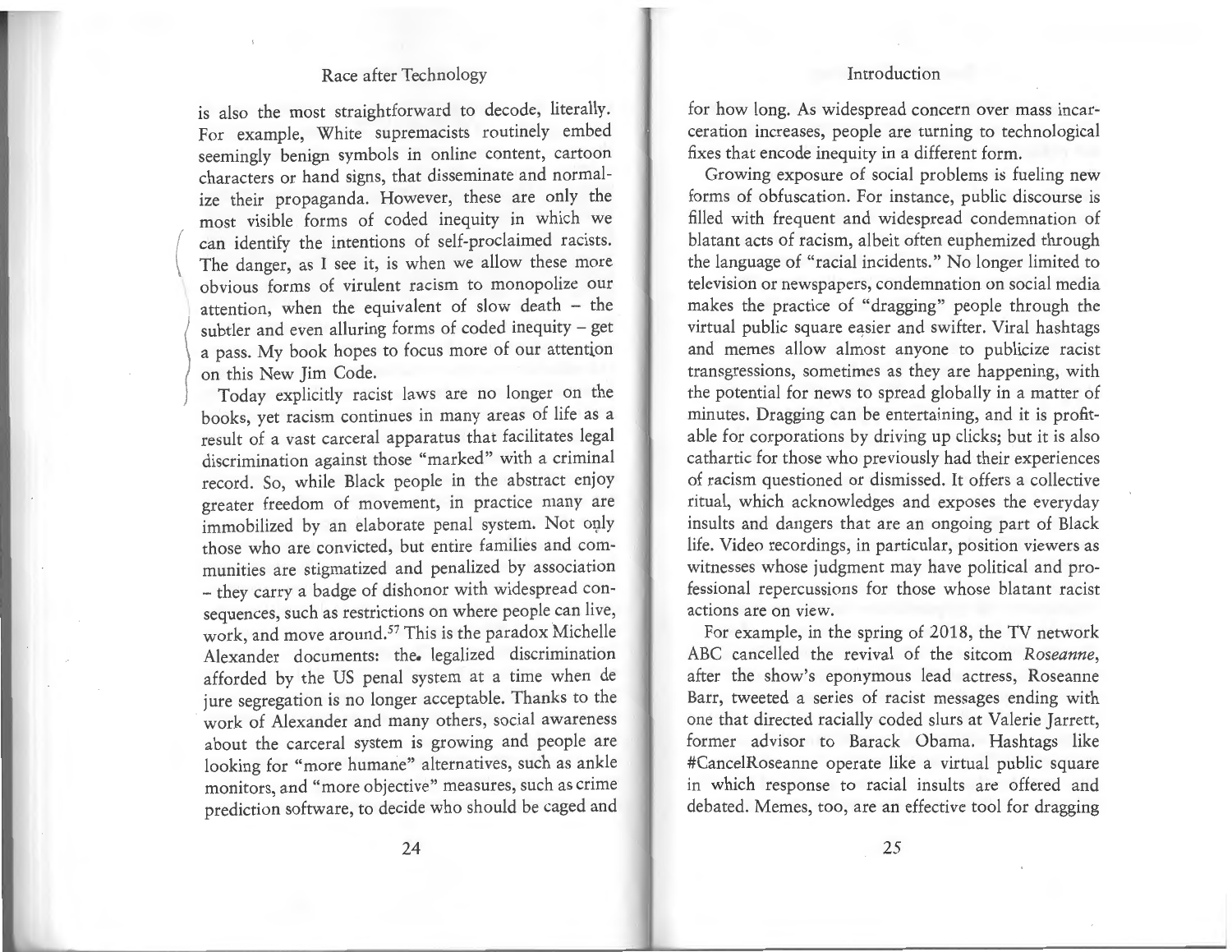# Race after Technology

is also the most straightforward to decode, literally. For example, White supremacists routinely embed seemingly benign symbols in online content, cartoon characters or hand signs, that disseminate and normalize their propaganda. However, these are only the most visible forms of coded inequity in which we can identify the intentions of self-proclaimed racists. The danger, as I see it, is when we allow these more obvious forms of virulent racism to monopolize our attention, when the equivalent of slow death - the subtler and even alluring forms of coded inequity - get a pass. My book hopes to focus more of our attention *(* on this New Jim Code.

Today explicitly racist laws are no longer on the books, yet racism continues in many areas of life as a result of a vast carceral apparatus that facilitates legal discrimination against those "marked" with a criminal record. So, while Black people in the abstract enjoy greater freedom of movement, in practice many are immobilized by an elaborate penal system. Not only those who are convicted, but entire families and communities are stigmatized and penalized by association - they carry a badge of dishonor with widespread consequences, such as restrictions on where people can live, work, and move around.<sup>57</sup> This is the paradox Michelle Alexander documents: the. legalized discrimination afforded by the US penal system at a time when de jure segregation is no longer acceptable. Thanks to the work of Alexander and many others, social awareness about the carceral system is growing and people are looking for "more humane" alternatives, such as ankle monitors, and "more objective" measures, such as crime prediction software, to decide who should be caged and

for how long. As widespread concern over mass incarceration increases, people are turning to technological fixes that encode inequity in a different form.

Growing exposure of social problems is fueling new forms of obfuscation. For instance, public discourse is filled with frequent and widespread condemnation of blatant acts of racism, albeit often euphemized through the language of "racial incidents." No longer limited to television or newspapers, condemnation on social media makes the practice of "dragging" people through the virtual public square easier and swifter. Viral hashtags and memes allow almost anyone to publicize racist transgressions, sometimes as they are happening, with the potential for news to spread globally in a matter of minutes. Dragging can be entertaining, and it is profitable for corporations by driving up clicks; but it is also cathartic for those who previously had their experiences of racism questioned or dismissed. It offers a collective ritual, which acknowledges and exposes the everyday insults and dangers that are an ongoing part of Black life. Video recordings, in particular, position viewers as witnesses whose judgment may have political and professional repercussions for those whose blatant racist actions are on view.

For example, in the spring of 2018, the TV network ABC cancelled the revival of the sitcom *Roseanne,*  after the show's eponymous lead actress, Roseanne Barr, tweeted a series of racist messages ending with one that directed racially coded slurs at Valerie Jarrett, former advisor to Barack Obama. Hashtags like #CancelRoseanne operate like a virtual public square in which response to racial insults are offered and debated. Memes, too, are an effective tool for dragging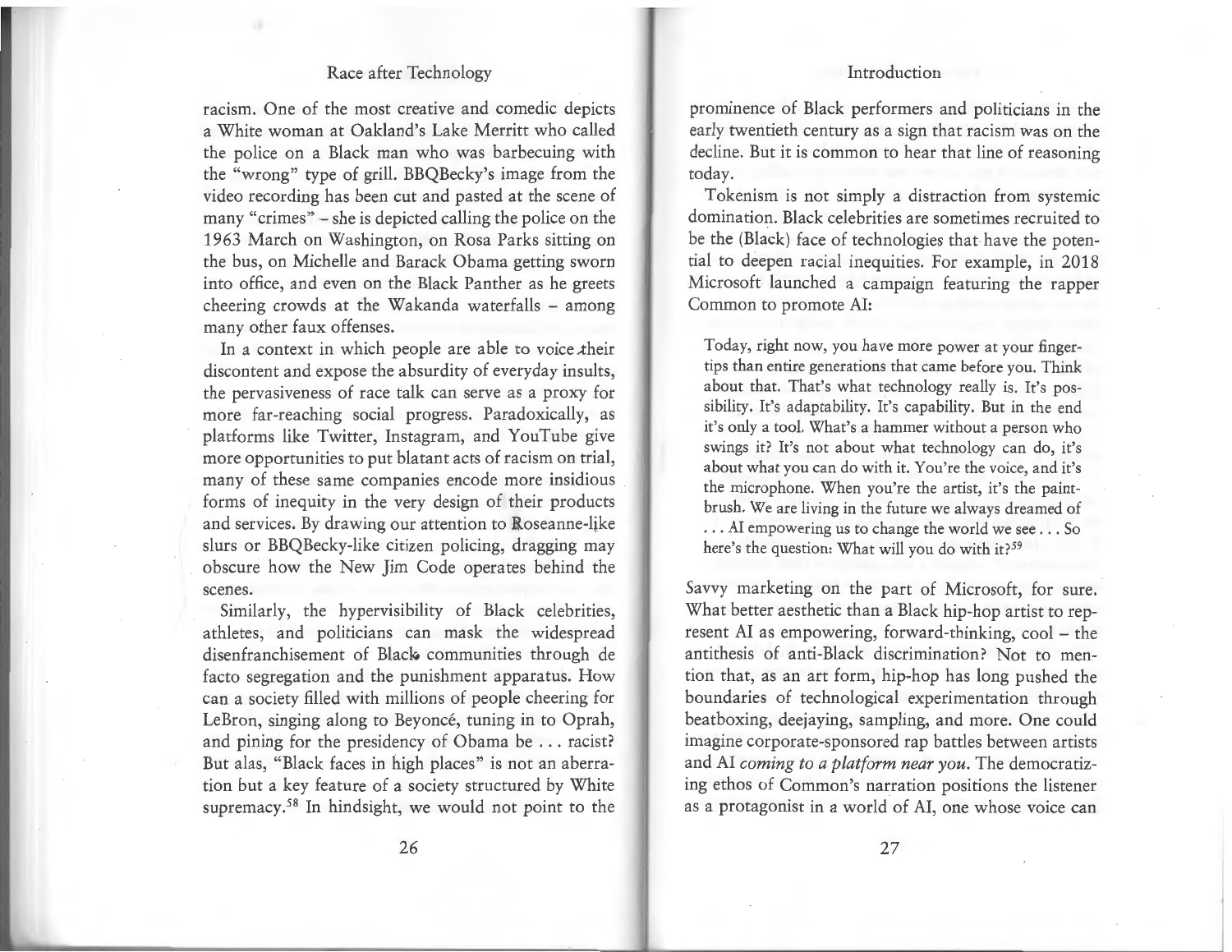# Race after Technology

racism. One of the most creative and comedic depicts a White woman at Oakland's Lake Merritt who called the police on a Black man who was barbecuing with the "wrong" type of grill. BBQBecky's image from the video recording has been cut and pasted at the scene of many "crimes" - she is depicted calling the police on the 1963 March on Washington, on Rosa Parks sitting on the bus, on Michelle and Barack Obama getting sworn into office, and even on the Black Panther as he greets cheering crowds at the Wakanda waterfalls - among many other faux offenses.

In a context in which people are able to voice their discontent and expose the absurdity of everyday insults, the pervasiveness of race talk can serve as a proxy for more far-reaching social progress. Paradoxically, as platforms like Twitter, Instagram, and YouTube give more opportunities to put blatant acts of racism on trial, many of these same companies encode more insidious forms of inequity in the very design of their products and services. By drawing our attention to Roseanne-like slurs or BBQBecky-like citizen policing, dragging may obscure how the New Jim Code operates behind the scenes.

Similarly, the hypervisibility of Black celebrities, athletes, and politicians can mask the widespread disenfranchisement of Black communities through de facto segregation and the punishment apparatus. How can a society filled with millions of people cheering for LeBron, singing along to Beyoncé, tuning in to Oprah, and pining for the presidency of Obama be ... racist? But alas, "Black faces in high places" is not an aberration but a key feature of a society structured by White supremacy.<sup>58</sup> In hindsight, we would not point to the

prominence of Black performers and politicians in the early twentieth century as a sign that racism was on the decline. But it is common to hear that line of reasoning today.

Tokenism is not simply a distraction from systemic domination. Black celebrities are sometimes recruited to be the (Black) face of technologies that have the potential to deepen racial inequities. For example, in 2018 Microsoft launched a campaign featuring the rapper Common to promote AI:

Today, right now, you have more power at your fingertips than entire generations that came before you. Think about that. That's what technology really is. It's possibility. It's adaptability. It's capability. But in the end it's only a tool. What's a hammer without a person who swings it? It's not about what technology can do, it's about what you can do with it. You're the voice, and it's the microphone. When you're the artist, it's the paintbrush. We are living in the future we always dreamed of ... AI empowering us to change the world we see ... So here's the question: What will you do with it?<sup>59</sup>

Savvy marketing on the part of Microsoft, for sure. What better aesthetic than a Black hip-hop artist to represent AI as empowering, forward-thinking,  $\text{cool}$  – the antithesis of anti-Black discrimination? Not to mention that, as an art form, hip-hop has long pushed the boundaries of technological experimentation through beatboxing, deejaying, sampling, and more. One could imagine corporate-sponsored rap battles between artists and AI *coming to a platform near you.* The democratizing ethos of Common's narration positions the listener as a protagonist in a world of AI, one whose voice can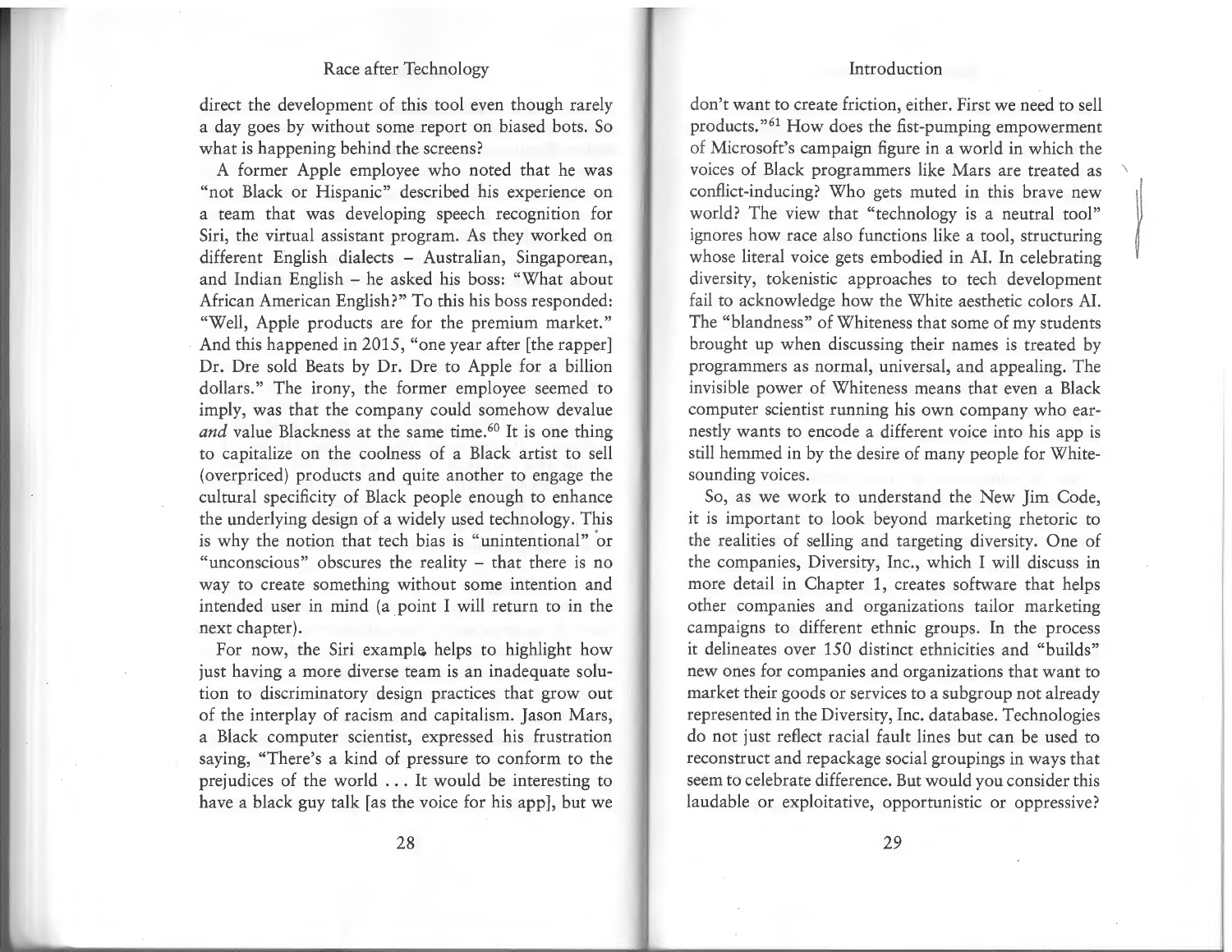# Race after Technology

direct the development of this tool even though rarely a day goes by without some report on biased bots. So what is happening behind the screens?

A former Apple employee who noted that he was "not Black or Hispanic" described his experience on a team that was developing speech recognition for Siri, the virtual assistant program. As they worked on different English dialects - Australian, Singaporean, and Indian English - he asked his boss: "What about African American English?" To this his boss responded: "Well, Apple products are for the premium market." And this happened in 2015, "one year after [the rapper] Dr. Dre sold Beats by Dr. Dre to Apple for a billion dollars." The irony, the former employee seemed to imply, was that the company could somehow devalue *and* value Blackness at the same time.<sup>60</sup> It is one thing to capitalize on the coolness of a Black artist to sell (overpriced) products and quite another to engage the cultural specificity of Black people enough to enhance the underlying design of a widely used technology. This is why the notion that tech bias is "unintentional" 'or "unconscious" obscures the reality - that there is no way to create something without some intention and intended user in mind (a point I will return to in the next chapter).

For now, the Siri example helps to highlight how just having a more diverse team is an inadequate solution to discriminatory design practices that grow out of the interplay of racism and capitalism. Jason Mars, a Black computer scientist, expressed his frustration saying, "There's a kind of pressure to conform to the prejudices of the world ... It would be interesting to have a black guy talk [as the voice for his app], but we

don't want to create friction, either. First we need to sell products."<sup>61</sup> How does the fist-pumping empowerment of Microsoft's campaign figure in a world in which the voices of Black programmers like Mars are treated as ' conflict-inducing? Who gets muted in this brave new world? The view that "technology is a neutral tool" ignores how race also functions like a tool, structuring whose literal voice gets embodied in AI. In celebrating diversity, tokenistic approaches to tech development fail to acknowledge how the White aesthetic colors AI. The "blandness" of Whiteness that some of my students brought up when discussing their names is treated by programmers as normal, universal, and appealing. The invisible power of Whiteness means that even a Black computer scientist running his own company who earnestly wants to encode a different voice into his app is still hemmed in by the desire of many people for Whitesounding voices.

So, as we work to understand the New Jim Code, it is important to look beyond marketing rhetoric to the realities of selling and targeting diversity. One of the companies, Diversity, Inc., which I will discuss in more detail in Chapter 1, creates software that helps other companies and organizations tailor marketing campaigns to different ethnic groups. In the process it delineates over 150 distinct ethnicities and "builds" new ones for companies and organizations that want to market their goods or services to a subgroup not already represented in the Diversity, Inc. database. Technologies do not just reflect racial fault lines but can be used to reconstruct and repackage social groupings in ways that seem to celebrate difference. But would you consider this laudable or exploitative, opportunistic or oppressive?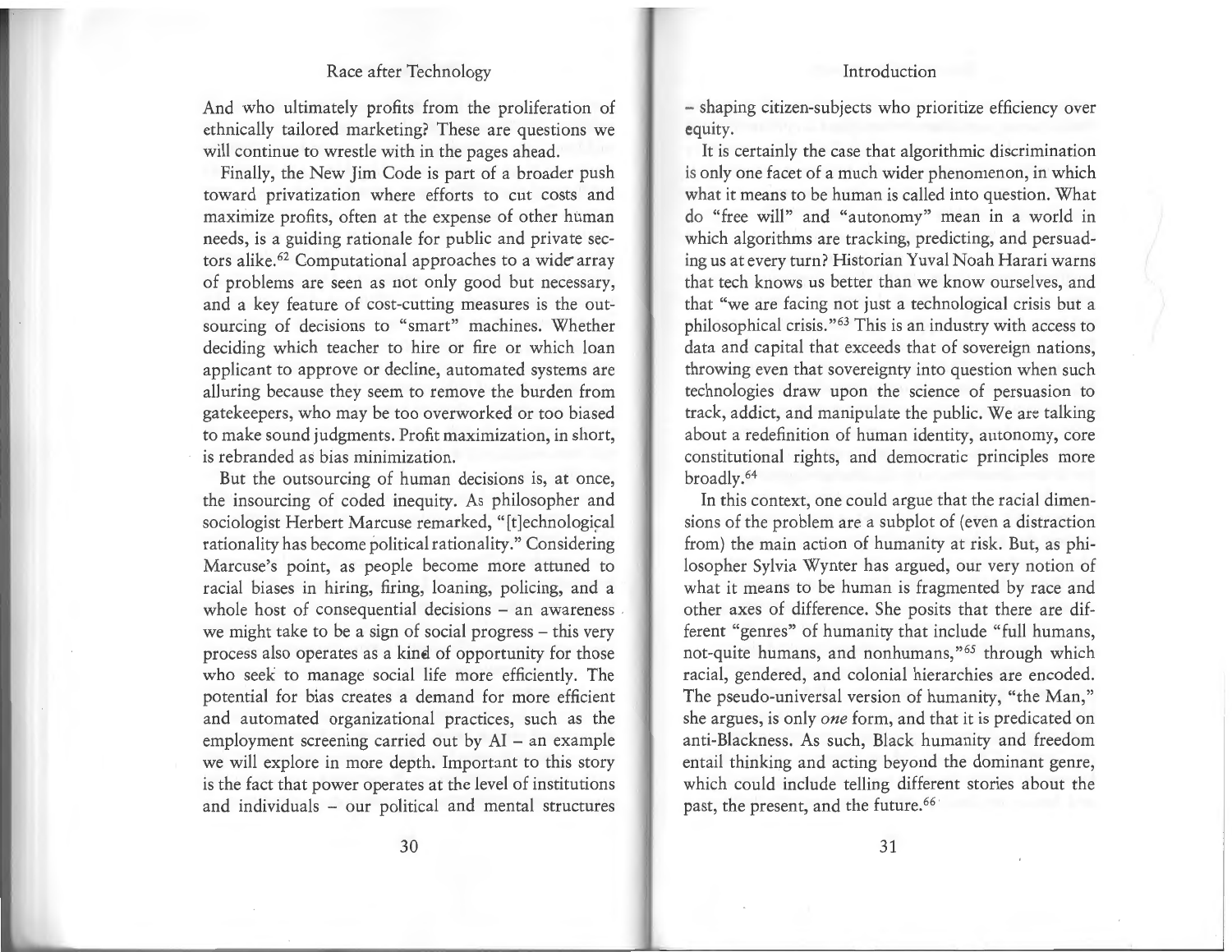# Race after Technology

And who ultimately profits from the proliferation of ethnically tailored marketing? These are questions we will continue to wrestle with in the pages ahead.

Finally, the New Jim Code is part of a broader push toward privatization where efforts to cut costs and maximize profits, often at the expense of other human needs, is a guiding rationale for public and private sectors alike.<sup>62</sup> Computational approaches to a wide array of problems are seen as not only good but necessary, and a key feature of cost-cutting measures is the outsourcing of decisions to "smart" machines. Whether deciding which teacher to hire or fire or which loan applicant to approve or decline, automated systems are alluring because they seem to remove the burden from gatekeepers, who may be too overworked or too biased to make sound judgments. Profit maximization, in short, is rebranded as bias minimization.

I

l

l

i

But the outsourcing of human decisions is, at once, the insourcing of coded inequity. As philosopher and sociologist Herbert Marcuse remarked, "[t]echnological rationality has become political rationality." Considering Marcuse's point, as people become more attuned to racial biases in hiring, firing, loaning, policing, and a whole host of consequential decisions  $-$  an awareness we might take to be a sign of social progress – this very process also operates as a kine of opportunity for those who seek to manage social life more efficiently. The potential for bias creates a demand for more efficient and automated organizational practices, such as the employment screening carried out by  $AI - an example$ we will explore in more depth. Important to this story is the fact that power operates at the level of institutions and individuals - our political and mental structures

- shaping citizen-subjects who prioritize efficiency over equity.

It is certainly the case that algorithmic discrimination is only one facet of a much wider phenomenon, in which what it means to be human is called into question. What do "free will" and "autonomy" mean in a world in which algorithms are tracking, predicting, and persuading us at every turn? Historian Yuval Noah Harari warns that tech knows us better than we know ourselves, and that "we are facing not just a technological crisis but a <sup>p</sup>hilosophical crisis."63 This is an industry with access to data and capital that exceeds that of sovereign nations, throwing even that sovereignty into question when such technologies draw upon the science of persuasion to track, addict, and manipulate the public. We are talking about a redefinition of human identity, autonomy, core constitutional rights, and democratic principles more broadly. <sup>64</sup>

In this context, one could argue that the racial dimensions of the problem are a subplot of (even a distraction from) the main action of humanity at risk. But, as philosopher Sylvia Wynter has argued, our very notion of what it means to be human is fragmented by race and other axes of difference. She posits that there are different "genres" of humanity that include "full humans, not-quite humans, and nonhumans,"<sup>65</sup> through which racial, gendered, and colonial hierarchies are encoded. The pseudo-universal version of humanity, "the Man," she argues, is only *one* form, and that it is predicated on anti-Blackness. As such, Black humanity and freedom entail thinking and acting beyond the dominant genre, which could include telling different stories about the past, the present, and the future.<sup>66</sup>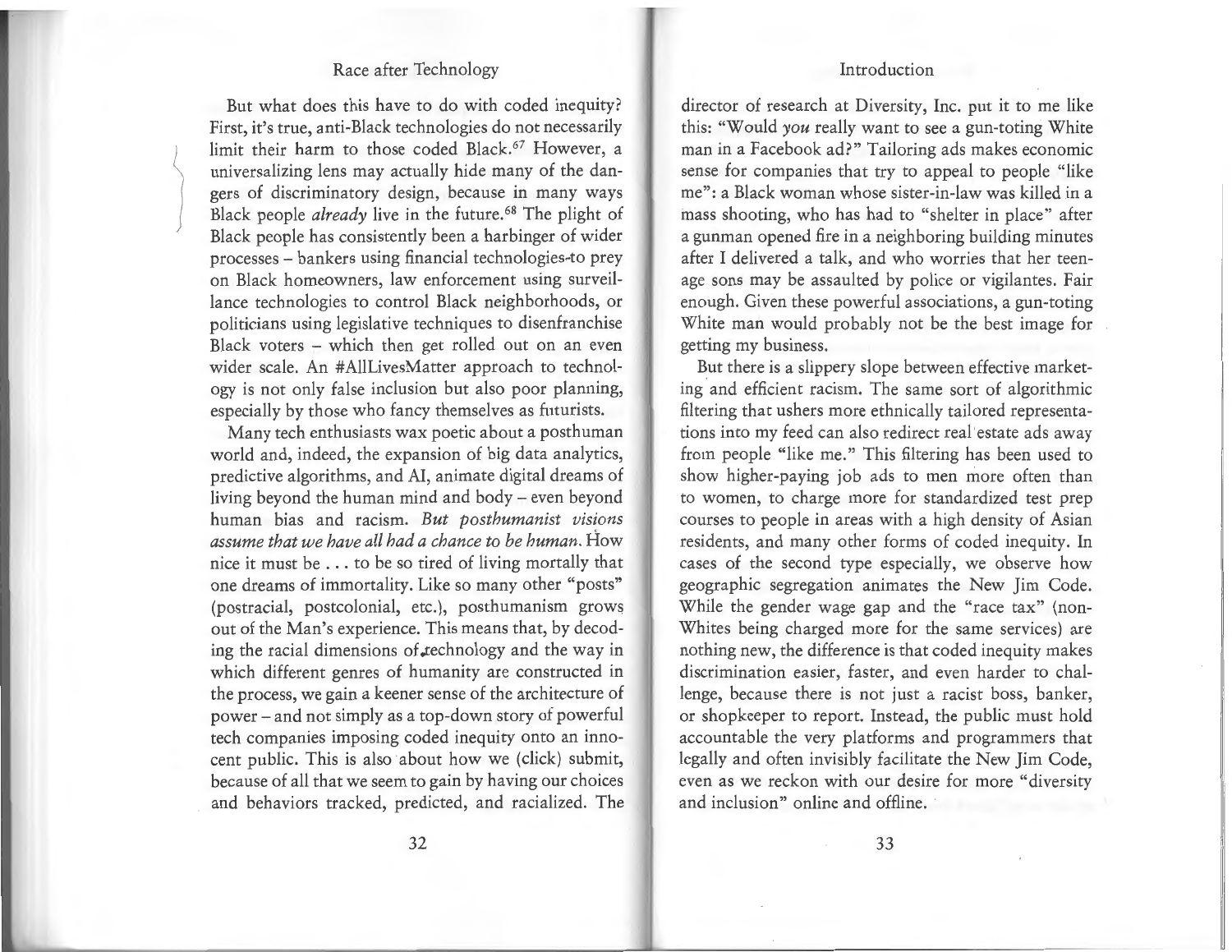# Race after Technology

But what does this have to do with coded inequity? First, it's true, anti-Black technologies do not necessarily limit their harm to those coded Black.<sup>67</sup> However, a universalizing lens may actually hide many of the dangers of discriminatory design, because in many ways Black people *already* live in the future.<sup>68</sup> The plight of Black people has consistently been a harbinger of wider processes - bankers using financial technologies-to prey on Black homeowners, law enforcement using surveillance technologies to control Black neighborhoods, or politicians using legislative techniques to disenfranchise Black voters - which then get rolled out on an even wider scale. An #AllLivesMatter approach to technology is not only false inclusion but also poor planning, especially by those who fancy themselves as futurists.

·,,

I *)* 

> Many tech enthusiasts wax poetic about a posthuman world and, indeed, the expansion of big data analytics, predictive algorithms, and AI, animate digital dreams of living beyond the human mind and body - even beyond human bias and racism. *But posthumanist visions assume that we have all had a chance to be human.* How nice it must be ... to be so tired of living mortally that one dreams of immortality. Like so many other "posts" (postracial, postcolonial, etc.), posthumanism grows out of the Man's experience. This means that, by decoding the racial dimensions of.technology and the way in which different genres of humanity are constructed in the process, we gain a keener sense of the architecture of power - and not simply as a top-down story of powerful tech companies imposing coded inequity onto an innocent public. This is also about how we (click) submit, because of all that we seem to gain by having our choices and behaviors tracked, predicted, and racialized. The

director of research at Diversity, Inc. put it to me like this: "Would *you* really want to see a gun-toting White man in a Facebook ad?" Tailoring ads makes economic sense for companies that try to appeal to people "like me": a Black woman whose sister-in-law was killed in a mass shooting, who has had to "shelter in place" after a gunman opened fire in a neighboring building minutes after I delivered a talk, and who worries that her teenage sons may be assaulted by police or vigilantes. Fair enough. Given these powerful associations, a gun-toting White man would probably not be the best image for getting my business.

But there is a slippery slope between effective marketing and efficient racism. The same sort of algorithmic filtering that ushers more ethnically tailored representations into my feed can also redirect real·estate ads away from people "like me." This filtering has been used to show higher-paying job ads to men more often than to women, to charge more for standardized test prep courses to people in areas with a high density of Asian residents, and many other forms of coded inequity. In cases of the second type especially, we observe how geographic segregation animates the New Jim Code. While the gender wage gap and the "race tax" (non-Whites being charged more for the same services) are nothing new, the difference is that coded inequity makes discrimination easier, faster, and even harder to challenge, because there is not just a racist boss, banker, or shopkeeper to report. Instead, the public must hold accountable the very platforms and programmers that legally and often invisibly facilitate the New Jim Code, even as we reckon with our desire for more "diversity and inclusion" online and offline.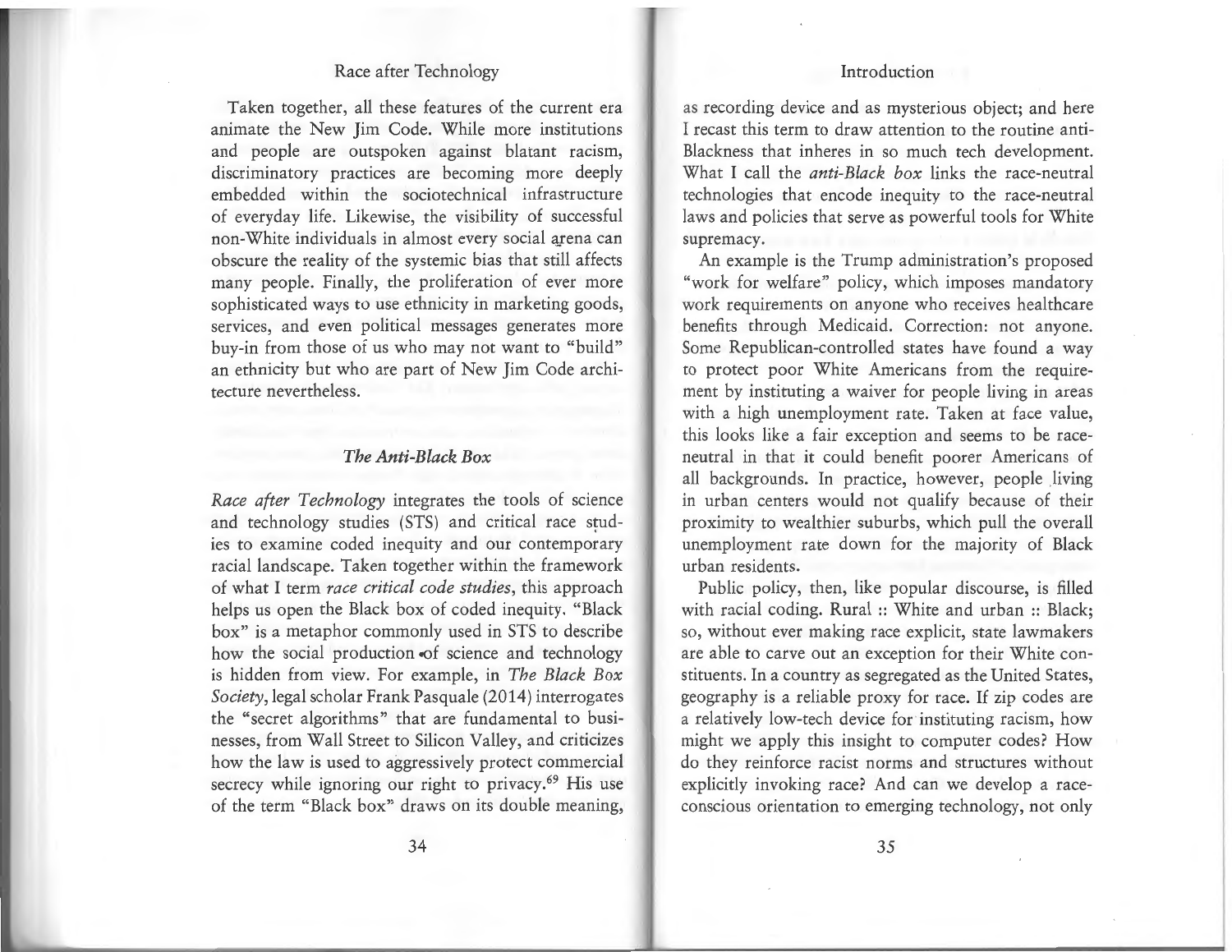# Race after Technology

Taken together, all these features of the current era animate the New Jim Code. While more institutions and people are outspoken against blatant racism, discriminatory practices are becoming more deeply embedded within the sociotechnical infrastructure of everyday life. Likewise, the visibility of successful non-White individuals in almost every social arena can obscure the reality of the systemic bias that still affects many people. Finally, the proliferation of ever more sophisticated ways to use ethnicity in marketing goods, services, and even political messages generates more buy-in from those of us who may not want to "build" an ethnicity but who are part of New Jim Code architecture nevertheless.

# *The Anti-Black Box*

*Race after Technology* integrates the tools of science and technology studies (STS) and critical race studies to examine coded inequity and our contemporary racial landscape. Taken together within the framework of what I term *race critical code studies,* this approach [ helps us open the Black box of coded inequity. "Black box" is a metaphor commonly used in STS to describe how the social production of science and technology is hidden from view. For example, in *The Black Box Society*, legal scholar Frank Pasquale (2014) interrogates the "secret algorithms" that are fundamental to busi- ' nesses, from Wall Street to Silicon Valley, and criticizes how the law is used to aggressively protect commercial secrecy while ignoring our right to privacy.<sup>69</sup> His use of the term "Black box" draws on its double meaning,

# Introduction

as recording device and as mysterious object; and here I recast this term to draw attention to the routine anti-Blackness that inheres in so much tech development. What I call the *anti-Black box* links the race-neutral technologies that encode inequity to the race-neutral laws and policies that serve as powerful tools for White supremacy.

An example is the Trump administration's proposed "work for welfare" policy, which imposes mandatory work requirements on anyone who receives healthcare benefits through Medicaid. Correction: not anyone. Some Republican-controlled states have found a way to protect poor White Americans from the requirement by instituting a waiver for people living in areas with a high unemployment rate. Taken at face value, this looks like a fair exception and seems to be raceneutral in that it could benefit poorer Americans of all backgrounds. In practice, however, people living in urban centers would not qualify because of their proximity to wealthier suburbs, which pull the overall unemployment rate down for the majority of Black urban residents.

Public policy, then, like popular discourse, is filled with racial coding. Rural :: White and urban :: Black; so, without ever making race explicit, state lawmakers are able to carve out an exception for their White constituents. In a country as segregated as the United States, geography is a reliable proxy for race. If zip codes are a relatively low-tech device for instituting racism, how might we apply this insight to computer codes? How do they reinforce racist norms and structures without explicitly invoking race? And can we develop a raceconscious orientation to emerging technology, not only

J

I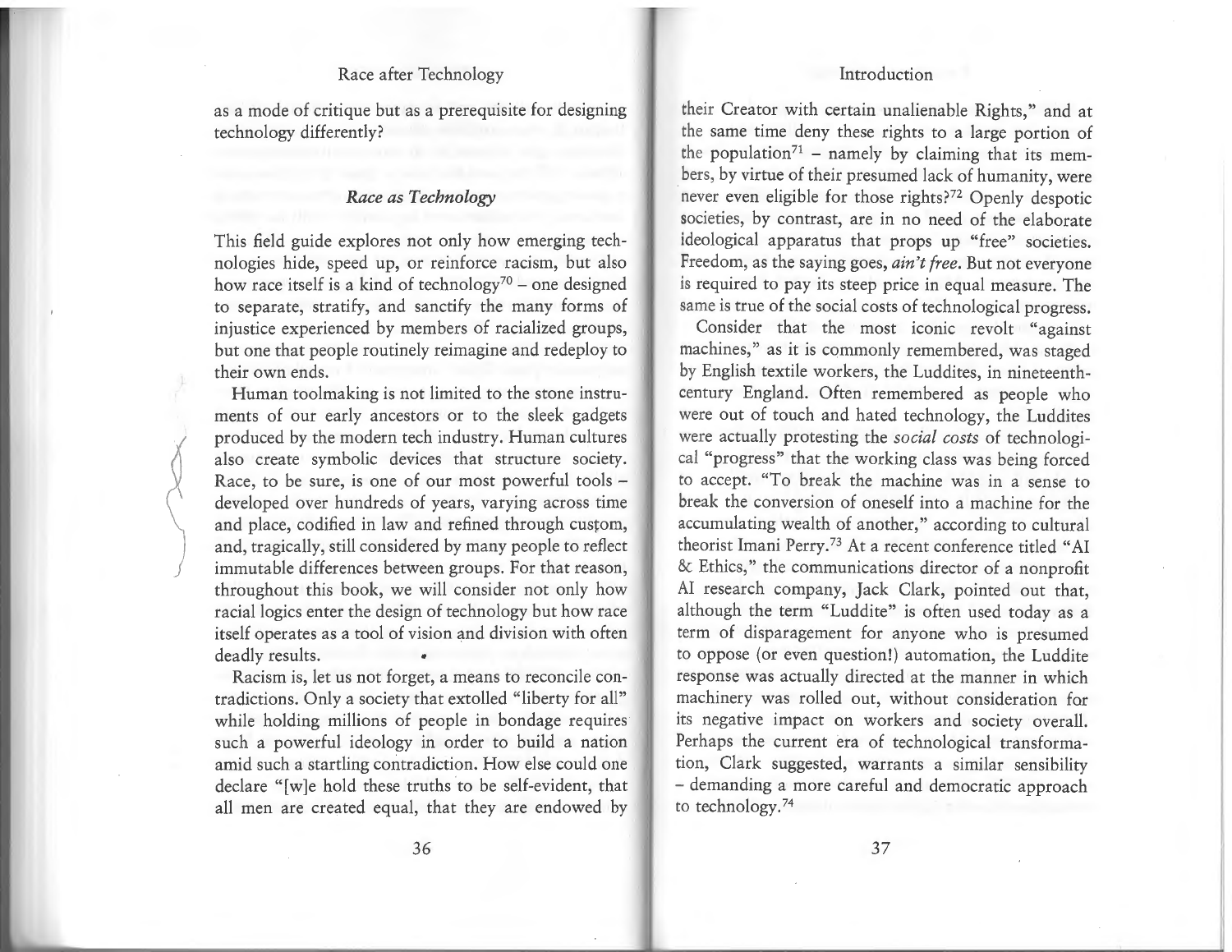--

# Race after Technology

as a mode of critique but as a prerequisite for designing technology differently?

# *Race as Technology*

This field guide explores not only how emerging technologies hide, speed up, or reinforce racism, but also how race itself is a kind of technology<sup>70</sup> – one designed to separate, stratify, and sanctify the many forms of injustice experienced by members of racialized groups, but one that people routinely reimagine and redeploy to their own ends.

Human toolmaking is not limited to the stone instruments of our early ancestors or to the sleek gadgets produced by the modern tech industry. Human cultures also create symbolic devices that structure society. Race, to be sure, is one of our most powerful tools developed over hundreds of years, varying across time and place, codified in law and refined through cusfom, and, tragically, still considered by many people to reflect immutable differences between groups. For that reason, throughout this book, we will consider not only how racial logics enter the design of technology but how race itself operates as a tool of vision and division with often deadly results.

 $\left(\begin{array}{c} 1 \ 1 \end{array}\right)$ 

) *)* 

> Racism is, let us not forget, a means to reconcile contradictions. Only a society that extolled "liberty for all" while holding millions of people in bondage requires such a powerful ideology in order to build a nation amid such a startling contradiction. How else could one declare "[w]e hold these truths to be self-evident, that all men are created equal, that they are endowed by

their Creator with certain unalienable Rights," and at the same time deny these rights to a large portion of the population<sup>71</sup> - namely by claiming that its members, by virtue of their presumed lack of humanity, were never even eligible for those rights?<sup>72</sup> Openly despotic societies, by contrast, are in no need of the elaborate ideological apparatus that props up "free" societies. Freedom, as the saying goes, *ain't free.* But not everyone is required to pay its steep price in equal measure. The same is true of the social costs of technological progress.

Consider that the most iconic revolt "against machines," as it is commonly remembered, was staged by English textile workers, the Luddites, in nineteenthcentury England. Often remembered as people who were out of touch and hated technology, the Luddites were actually protesting the *social costs* of technological "progress" that the working class was being forced to accept. "To break the machine was in a sense to break the conversion of oneself into a machine for the accumulating wealth of another," according to cultural theorist Imani Perry. 73 At a recent conference titled "AI & Ethics," the communications director of a nonprofit AI research company, Jack Clark, pointed out that, although the term "Luddite" is often used today as a term of disparagement for anyone who is presumed to oppose (or even question!) automation, the Luddite response was actually directed at the manner in which machinery was rolled out, without consideration far its negative impact on workers and society overall. Perhaps the current era of technological transformation, Clark suggested, warrants a similar sensibility - demanding a more careful and democratic approach to technology. 74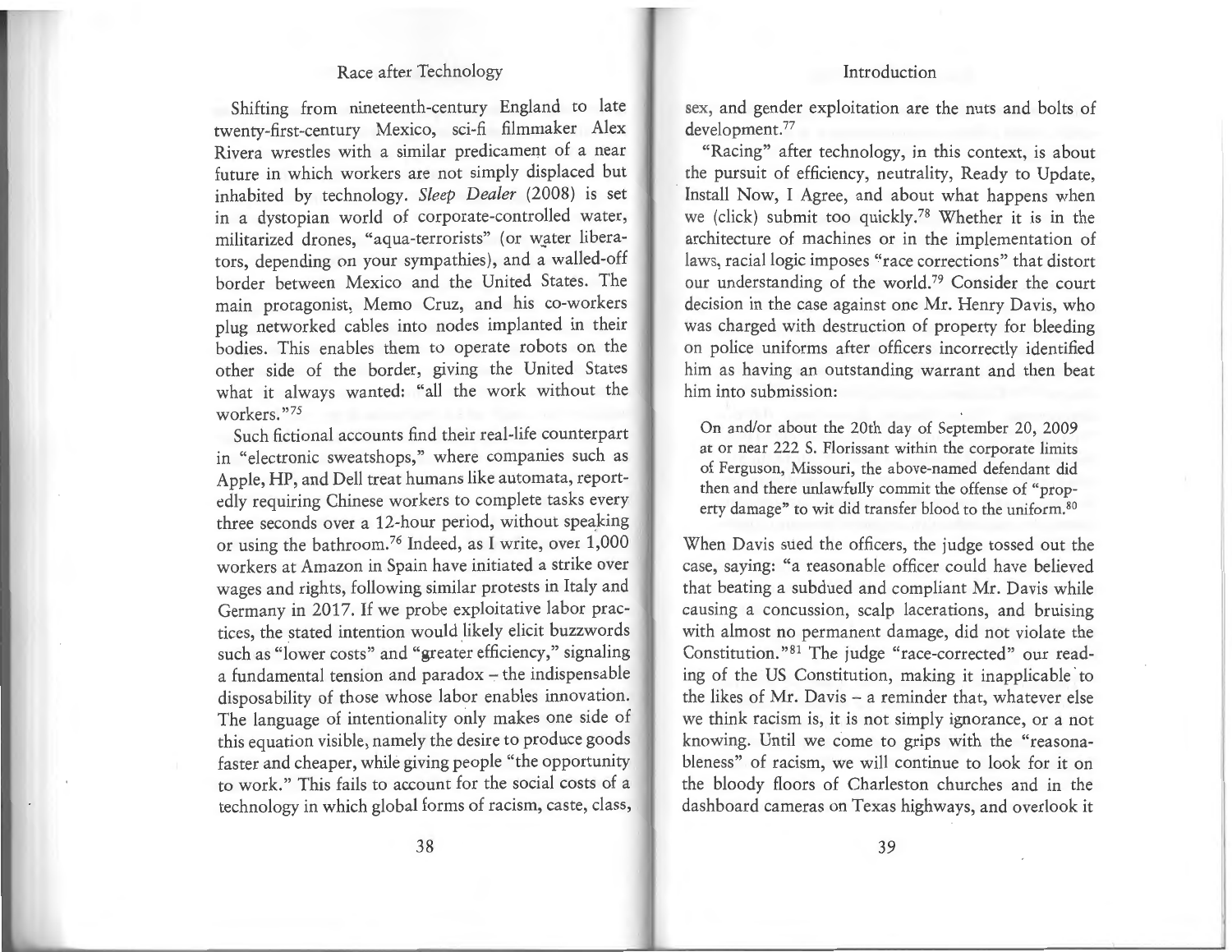# Race after Technology

Shifting from nineteenth-century England to late twenty-first-century Mexico, sci-fi filmmaker Alex Rivera wrestles with a similar predicament of a near future in which workers are not simply displaced but inhabited by technology. *Sleep Dealer* (2008) is set in a dystopian world of corporate-controlled water, militarized drones, "aqua-terrorists" (or water liberators, depending on your sympathies), and a walled-off border between Mexico and the United States. The main protagonist, Memo Cruz, and his co-workers plug networked cables into nodes implanted in their bodies. This enables them to operate robots on the other side of the border, giving the United States what it always wanted: "all the work without the workers."75

Such fictional accounts find their real-life counterpart in "electronic sweatshops," where companies such as Apple, HP, and Dell treat humans like automata, reportedly requiring Chinese workers to complete tasks every three seconds over a 12-hour period, without speaking or using the bathroom. 76 Indeed, as I write, over 1,000 workers at Amazon in Spain have initiated a strike over wages and rights, following similar protests in Italy and Germany in 2017. If we probe exploitative labor practices, the stated intention would likely elicit buzzwords such as "lower costs" and "greater efficiency," signaling a fundamental tension and paradox - the indispensable disposability of those whose labor enables innovation. The language of intentionality only makes one side of this equation visible, namely the desire to produce goods faster and cheaper, while giving people "the opportunity to work." This fails to account for the social costs of a technology in which global forms of racism, caste, class, sex, and gender exploitation are the nuts and bolts of development.<sup>77</sup>

"Racing" after technology, in this context, is about the pursuit of efficiency, neutrality, Ready to Update, Install Now, I Agree, and about what happens when we (click) submit too quickly.78 Whether it is in the architecture of machines or in the implementation of laws, racial logic imposes "race corrections" that distort our understanding of the world.<sup>79</sup> Consider the court decision in the case against one Mr. Henry Davis, who was charged with destruction of property for bleeding on police uniforms after officers incorrectly identified him as having an outstanding warrant and then beat him into submission:

On and/or about the 20th day of September 20, 2009 at or near 222 S. Florissant within the corporate limits of Ferguson, Missouri, the above-named defendant did then and there unlawfully commit the offense of "property damage" to wit did transfer blood to the uniform. <sup>80</sup>

When Davis sued the officers, the judge tossed out the case, saying: "a reasonable officer could have believed that beating a subdued and compliant Mr. Davis while causing a concussion, scalp lacerations, and bruising with almost no permanent damage, did not violate the Constitution."<sup>81</sup> The judge "race-corrected" our reading of the US Constitution, making it inapplicable to the likes of Mr. Davis - a reminder that, whatever else we think racism is, it is not simply ignorance, or a not knowing. Until we come to grips with the "reasonableness" of racism, we will continue to look for it on the bloody floors of Charleston churches and in the dashboard cameras on Texas highways, and overlook it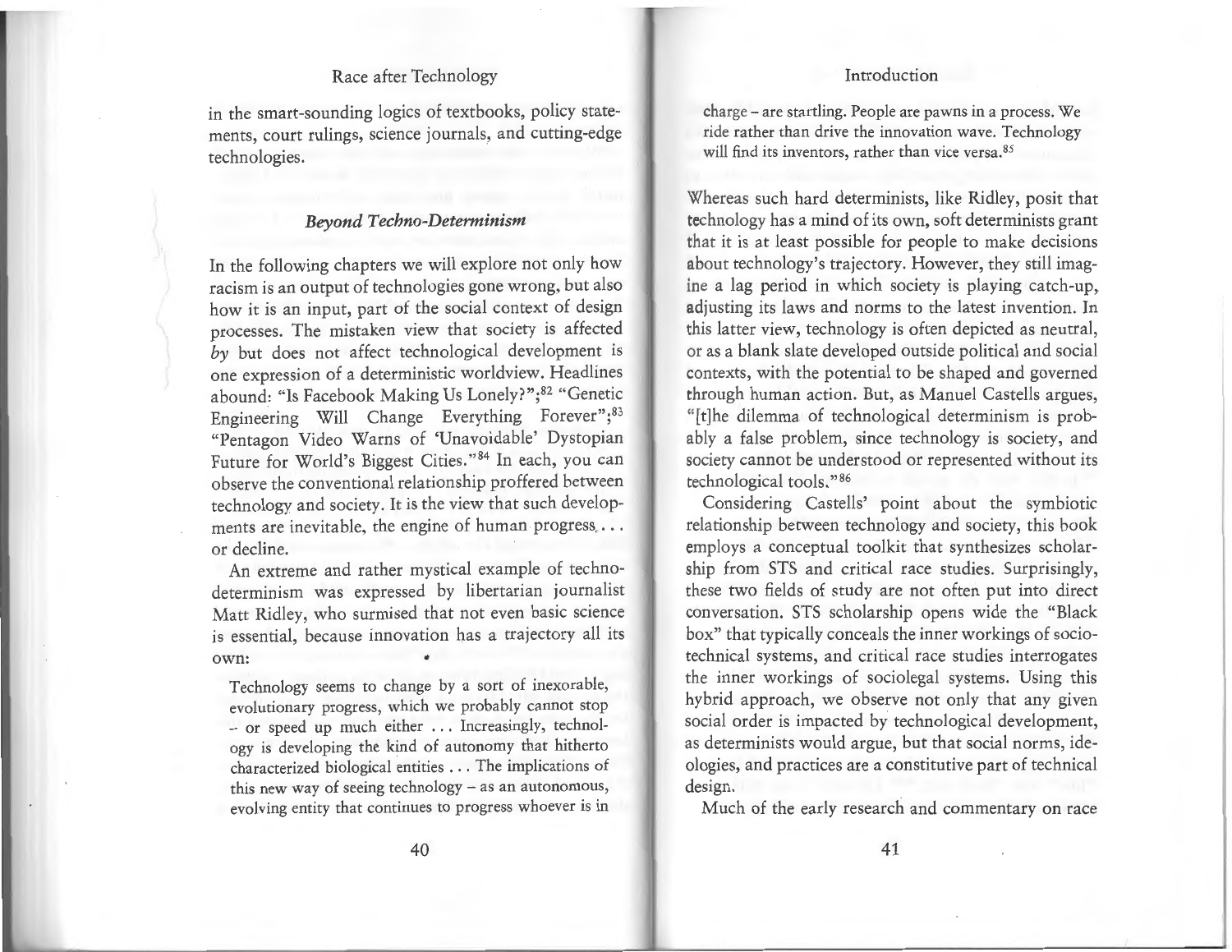#### Race after Technology

in the smart-sounding logics of textbooks, policy statements, court rulings, science journals, and cutting-edge technologies.

# *Beyond Techno-Determinism*

In the following chapters we will explore not only how racism is an output of technologies gone wrong, but also how it is an input, part of the social context of design processes. The mistaken view that society is affected *by* but does not affect technological development is one expression of a deterministic worldview. Headlines abound: "Is Facebook Making Us Lonely?"; 82 "Genetic Engineering Will Change Everything Forever";<sup>83</sup> "Pentagon Video Warns of 'Unavoidable' Dystopian Future for World's Biggest Cities." 84 In each, you can observe the conventional relationship proffered between technology and society. It is the view that such developments are inevitable, the engine of human progress... or decline.

An extreme and rather mystical example of technodeterminism was expressed by libertarian journalist Matt Ridley, who surmised that not even basic science is essential, because innovation has a trajectory all its own:

Technology seems to change by a sort of inexorable, evolutionary progress, which we probably cannot stop - or speed up much either ... Increasingly, technology is developing the kind of autonomy that hitherto characterized biological entities ... The implications of this new way of seeing technology - as an autonomous, evolving entity that continues to progress whoever is in charge - are startling. People are pawns in a process. We ride rather than drive the innovation wave. Technology will find its inventors, rather than vice versa.<sup>85</sup>

Whereas such hard determinists, like Ridley, posit that technology has a mind of its own, soft determinists grant that it is at least possible for people to make decisions about technology's trajectory. However, they still imagine a lag period in which society is playing catch-up, adjusting its laws and norms to the latest invention. In this latter view, technology is often depicted as neutral, or as a blank slate developed outside political and social contexts, with the potential to be shaped and governed through human action. But, as Manuel Castells argues, " [t]he dilemma of technological determinism is probably a false problem, since technology is society, and society cannot be understood or represented without its technological tools.'' <sup>86</sup>

Considering Castells' point about the symbiotic relationship between technology and society, this book employs a conceptual toolkit that synthesizes scholarship from STS and critical race studies. Surprisingly, these two fields of study are not often put into direct conversation. STS scholarship opens wide the "Black box" that typically conceals the inner workings of sociotechnical systems, and critical race studies interrogates the inner workings of sociolegal systems. Using this hybrid approach, we observe not only that any given social order is impacted by technological development, as determinists would argue, but that social norms, ideologies, and practices are a constitutive part of technical design.

Much of the early research and commentary on race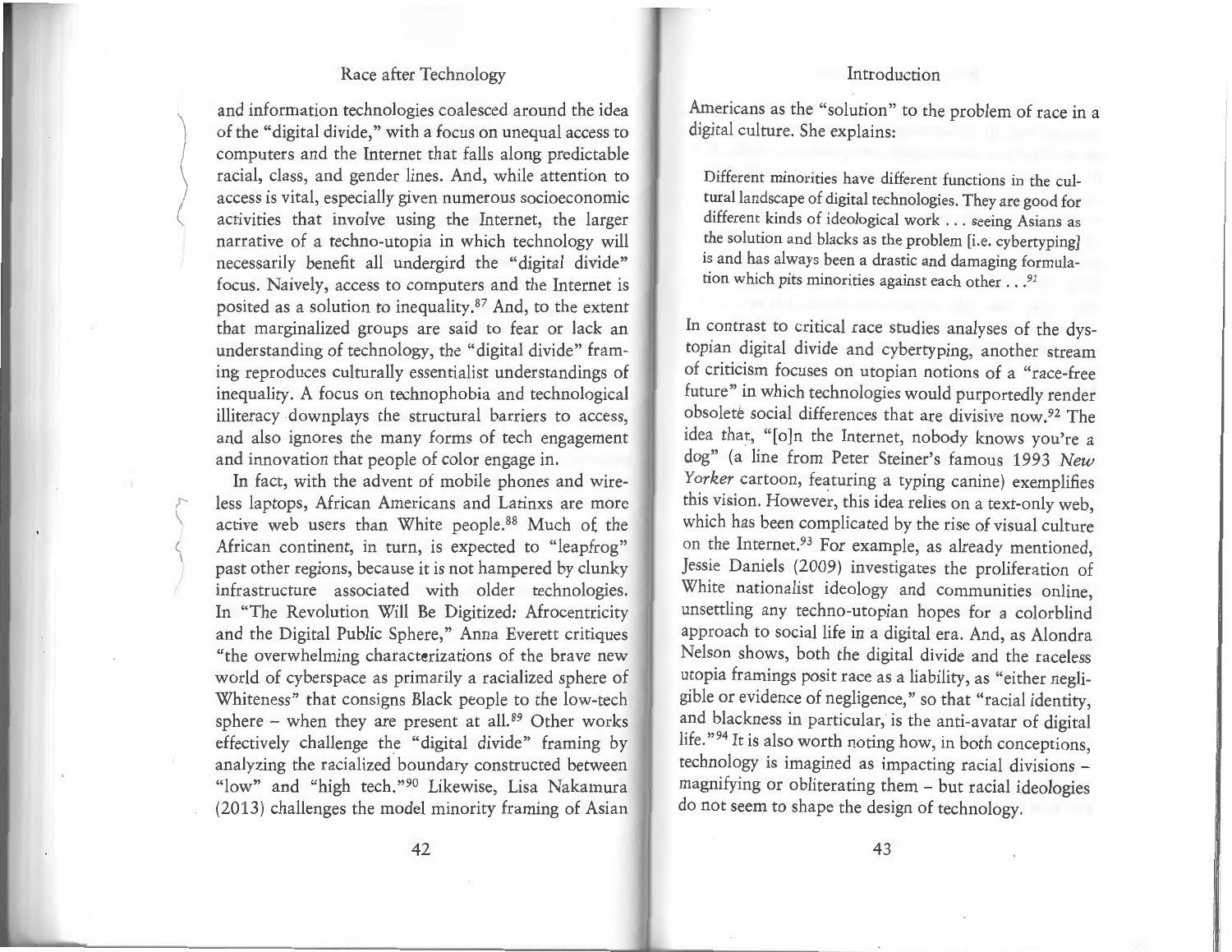# Race after Technology

and information technologies coalesced around the idea of the "digital divide," with a focus on unequal access to computers and the Internet that falls along predictable racial, class, and gender lines. And, while attention to access is vital, especially given numerous socioeconomic activities that involve using the Internet, the larger narrative of a techno-utopia in which technology will necessarily benefit all undergird the "digital divide" focus. Naively, access to computers and the Internet is posited as a solution to inequality. 87 And, to the extent that marginalized groups are said to fear or lack an understanding of technology, the "digital divide" framing reproduces culturally essentialist understandings of inequality. A focus on technophobia and technological illiteracy downplays the structural barriers to access, and also ignores the many forms of tech engagement and innovation that people of color engage in.

' /

In fact, with the advent of mobile phones and wireless laptops, African Americans and Latinxs are more active web users than White people.<sup>88</sup> Much of the African continent, in turn, is expected to "leapfrog" past other regions, because it is not hampered by clunky infrastructure associated with older technologies. In "The Revolution Will Be Digitized: Afrocentricity and the Digital Public Sphere," Anna Everett critiques "the overwhelming characterizations of the brave new world of cyberspace as primarily a racialized sphere of Whiteness" that consigns Black people to the low-tech sphere  $-$  when they are present at all.<sup>89</sup> Other works effectively challenge the "digital divide" framing by analyzing the racialized boundary constructed between "low" and "high tech."<sup>90</sup> Likewise, Lisa Nakamura (2013) challenges the model minority framing of Asian

Americans as the "solution" to the problem of race in a digital culture. She explains:

Different minorities have different functions in the cultural landscape of digital technologies. They are good for different kinds of ideological work ... seeing Asians as the solution and blacks as the problem [i.e. cybertyping] is and has always been a drastic and damaging formulation which pits minorities against each other ... 91

In contrast to critical race studies analyses of the dystopian digital divide and cybertyping, another stream of criticism focuses on utopian notions of a "race-free future" in which technologies would purportedly render obsolete social differences that are divisive now. 92 The idea that, "[o]n the Internet, nobody knows you're a dog" (a line from Peter Steiner's famous 1993 *New*  Yorker cartoon, featuring a typing canine) exemplifies this vision. However, this idea relies on a text-only web, which has been complicated by the rise of visual culture on the Internet.<sup>93</sup> For example, as already mentioned, Jessie Daniels (2009) investigates the proliferation of White nationalist ideology and communities online, unsettling any techno-utopian hopes for a colorblind approach to social life in a digital era. And, as Alondra Nelson shows, both the digital divide and the raceless utopia framings posit race as a liability, as "either negligible or evidence of negligence," so that "racial identity, and blackness in particular, is the anti-avatar of digital life."<sup>94</sup> It is also worth noting how, in both conceptions, technology is imagined as impacting racial divisions magnifying or obliterating them - but racial ideologies do not seem to shape the design of technology.